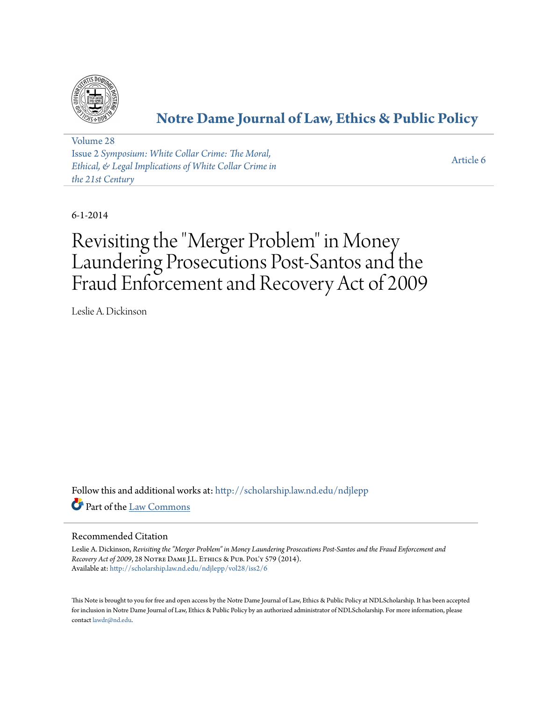

# **[Notre Dame Journal of Law, Ethics & Public Policy](http://scholarship.law.nd.edu/ndjlepp?utm_source=scholarship.law.nd.edu%2Fndjlepp%2Fvol28%2Fiss2%2F6&utm_medium=PDF&utm_campaign=PDFCoverPages)**

[Volume 28](http://scholarship.law.nd.edu/ndjlepp/vol28?utm_source=scholarship.law.nd.edu%2Fndjlepp%2Fvol28%2Fiss2%2F6&utm_medium=PDF&utm_campaign=PDFCoverPages) Issue 2 *[Symposium: White Collar Crime: The Moral,](http://scholarship.law.nd.edu/ndjlepp/vol28/iss2?utm_source=scholarship.law.nd.edu%2Fndjlepp%2Fvol28%2Fiss2%2F6&utm_medium=PDF&utm_campaign=PDFCoverPages) [Ethical, & Legal Implications of White Collar Crime in](http://scholarship.law.nd.edu/ndjlepp/vol28/iss2?utm_source=scholarship.law.nd.edu%2Fndjlepp%2Fvol28%2Fiss2%2F6&utm_medium=PDF&utm_campaign=PDFCoverPages) [the 21st Century](http://scholarship.law.nd.edu/ndjlepp/vol28/iss2?utm_source=scholarship.law.nd.edu%2Fndjlepp%2Fvol28%2Fiss2%2F6&utm_medium=PDF&utm_campaign=PDFCoverPages)*

[Article 6](http://scholarship.law.nd.edu/ndjlepp/vol28/iss2/6?utm_source=scholarship.law.nd.edu%2Fndjlepp%2Fvol28%2Fiss2%2F6&utm_medium=PDF&utm_campaign=PDFCoverPages)

6-1-2014

# Revisiting the "Merger Problem" in Money Laundering Prosecutions Post-Santos and the Fraud Enforcement and Recovery Act of 2009

Leslie A. Dickinson

Follow this and additional works at: [http://scholarship.law.nd.edu/ndjlepp](http://scholarship.law.nd.edu/ndjlepp?utm_source=scholarship.law.nd.edu%2Fndjlepp%2Fvol28%2Fiss2%2F6&utm_medium=PDF&utm_campaign=PDFCoverPages) Part of the [Law Commons](http://network.bepress.com/hgg/discipline/578?utm_source=scholarship.law.nd.edu%2Fndjlepp%2Fvol28%2Fiss2%2F6&utm_medium=PDF&utm_campaign=PDFCoverPages)

### Recommended Citation

Leslie A. Dickinson, *Revisiting the "Merger Problem" in Money Laundering Prosecutions Post-Santos and the Fraud Enforcement and* Recovery Act of 2009, 28 NOTRE DAME J.L. ETHICS & PUB. POL'Y 579 (2014). Available at: [http://scholarship.law.nd.edu/ndjlepp/vol28/iss2/6](http://scholarship.law.nd.edu/ndjlepp/vol28/iss2/6?utm_source=scholarship.law.nd.edu%2Fndjlepp%2Fvol28%2Fiss2%2F6&utm_medium=PDF&utm_campaign=PDFCoverPages)

This Note is brought to you for free and open access by the Notre Dame Journal of Law, Ethics & Public Policy at NDLScholarship. It has been accepted for inclusion in Notre Dame Journal of Law, Ethics & Public Policy by an authorized administrator of NDLScholarship. For more information, please contact [lawdr@nd.edu.](mailto:lawdr@nd.edu)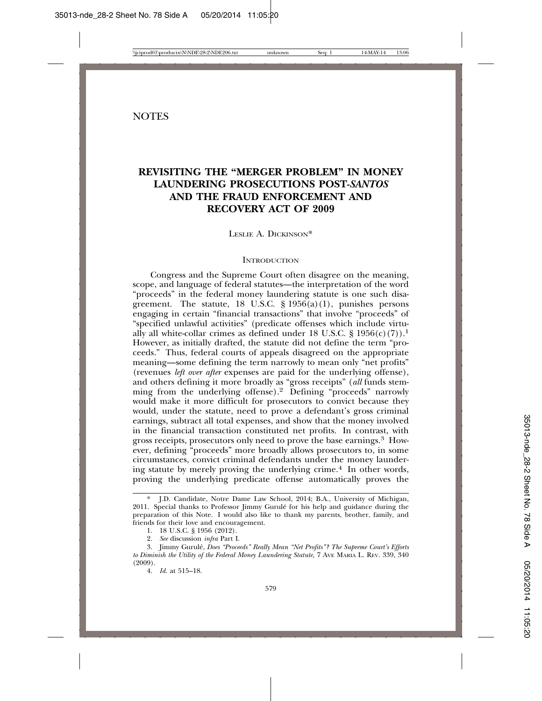## **REVISITING THE "MERGER PROBLEM" IN MONEY LAUNDERING PROSECUTIONS POST-***SANTOS* **AND THE FRAUD ENFORCEMENT AND RECOVERY ACT OF 2009**

LESLIE A. DICKINSON\*

#### **INTRODUCTION**

Congress and the Supreme Court often disagree on the meaning, scope, and language of federal statutes—the interpretation of the word "proceeds" in the federal money laundering statute is one such disagreement. The statute, 18 U.S.C.  $\S$  1956(a)(1), punishes persons engaging in certain "financial transactions" that involve "proceeds" of "specified unlawful activities" (predicate offenses which include virtually all white-collar crimes as defined under 18 U.S.C. § 1956(c)(7)).<sup>1</sup> However, as initially drafted, the statute did not define the term "proceeds." Thus, federal courts of appeals disagreed on the appropriate meaning—some defining the term narrowly to mean only "net profits" (revenues *left over after* expenses are paid for the underlying offense), and others defining it more broadly as "gross receipts" (*all* funds stemming from the underlying offense).2 Defining "proceeds" narrowly would make it more difficult for prosecutors to convict because they would, under the statute, need to prove a defendant's gross criminal earnings, subtract all total expenses, and show that the money involved in the financial transaction constituted net profits. In contrast, with gross receipts, prosecutors only need to prove the base earnings.3 However, defining "proceeds" more broadly allows prosecutors to, in some circumstances, convict criminal defendants under the money laundering statute by merely proving the underlying crime.4 In other words, proving the underlying predicate offense automatically proves the

<sup>\*</sup> J.D. Candidate, Notre Dame Law School, 2014; B.A., University of Michigan, 2011. Special thanks to Professor Jimmy Gurule for his help and guidance during the ´ preparation of this Note. I would also like to thank my parents, brother, family, and friends for their love and encouragement.

<sup>1. 18</sup> U.S.C. § 1956 (2012).

<sup>2.</sup> *See* discussion *infra* Part I.

<sup>3.</sup> Jimmy Gurule,´ *Does "Proceeds" Really Mean "Net Profits"? The Supreme Court's Efforts to Diminish the Utility of the Federal Money Laundering Statute,* 7 AVE MARIA L. REV. 339, 340 (2009).

<sup>4.</sup> *Id.* at 515–18.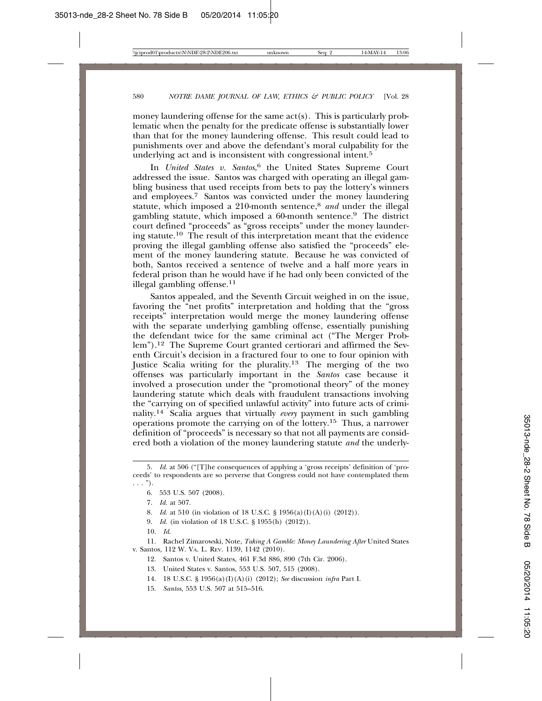money laundering offense for the same act(s). This is particularly problematic when the penalty for the predicate offense is substantially lower than that for the money laundering offense. This result could lead to punishments over and above the defendant's moral culpability for the underlying act and is inconsistent with congressional intent.<sup>5</sup>

In *United States v. Santos*, <sup>6</sup> the United States Supreme Court addressed the issue. Santos was charged with operating an illegal gambling business that used receipts from bets to pay the lottery's winners and employees.7 Santos was convicted under the money laundering statute, which imposed a 210-month sentence,<sup>8</sup> and under the illegal gambling statute, which imposed a 60-month sentence.9 The district court defined "proceeds" as "gross receipts" under the money laundering statute.10 The result of this interpretation meant that the evidence proving the illegal gambling offense also satisfied the "proceeds" element of the money laundering statute. Because he was convicted of both, Santos received a sentence of twelve and a half more years in federal prison than he would have if he had only been convicted of the illegal gambling offense.11

Santos appealed, and the Seventh Circuit weighed in on the issue, favoring the "net profits" interpretation and holding that the "gross receipts" interpretation would merge the money laundering offense with the separate underlying gambling offense, essentially punishing the defendant twice for the same criminal act ("The Merger Problem").12 The Supreme Court granted certiorari and affirmed the Seventh Circuit's decision in a fractured four to one to four opinion with Justice Scalia writing for the plurality.<sup>13</sup> The merging of the two offenses was particularly important in the *Santos* case because it involved a prosecution under the "promotional theory" of the money laundering statute which deals with fraudulent transactions involving the "carrying on of specified unlawful activity" into future acts of criminality.14 Scalia argues that virtually *every* payment in such gambling operations promote the carrying on of the lottery.15 Thus, a narrower definition of "proceeds" is necessary so that not all payments are considered both a violation of the money laundering statute *and* the underly-

- 8. *Id.* at 510 (in violation of 18 U.S.C. § 1956(a)(I)(A)(i) (2012)).
- 9. *Id.* (in violation of 18 U.S.C. § 1955(h) (2012)).
- 10. *Id*.

11. Rachel Zimarowski, Note, *Taking A Gamble: Money Laundering After* United States v. Santos*,* 112 W. VA. L. REV. 1139, 1142 (2010).

- 12. Santos v. United States, 461 F.3d 886, 890 (7th Cir. 2006).
- 13. United States v. Santos, 553 U.S. 507, 515 (2008).
- 14. 18 U.S.C. § 1956(a)(I)(A)(i) (2012); *See* discussion *infra* Part I.
- 15. *Santos*, 553 U.S. 507 at 515–516.

<sup>5.</sup> *Id.* at 506 ("[T]he consequences of applying a 'gross receipts' definition of 'proceeds' to respondents are so perverse that Congress could not have contemplated them  $\ldots$ ").

<sup>6. 553</sup> U.S. 507 (2008).

<sup>7.</sup> *Id.* at 507.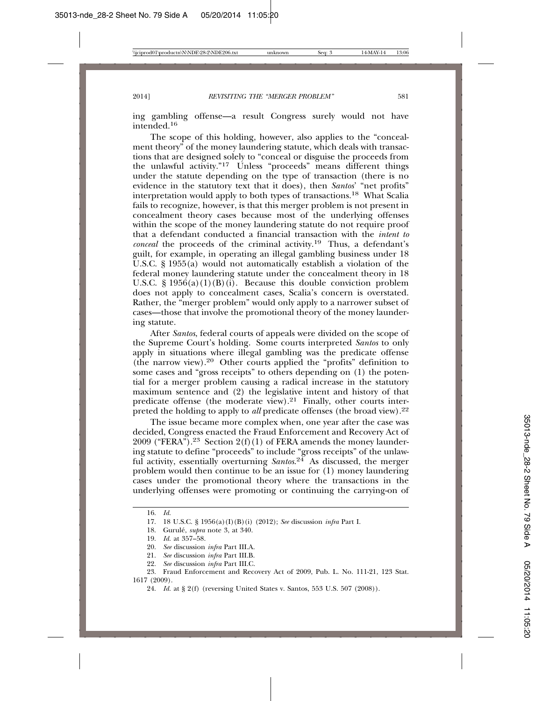ing gambling offense—a result Congress surely would not have intended.<sup>16</sup>

The scope of this holding, however, also applies to the "concealment theory" of the money laundering statute, which deals with transactions that are designed solely to "conceal or disguise the proceeds from the unlawful activity."<sup>17</sup> Unless "proceeds" means different things under the statute depending on the type of transaction (there is no evidence in the statutory text that it does), then *Santos*' "net profits" interpretation would apply to both types of transactions.18 What Scalia fails to recognize, however, is that this merger problem is not present in concealment theory cases because most of the underlying offenses within the scope of the money laundering statute do not require proof that a defendant conducted a financial transaction with the *intent to conceal* the proceeds of the criminal activity.19 Thus, a defendant's guilt, for example, in operating an illegal gambling business under 18 U.S.C. § 1955(a) would not automatically establish a violation of the federal money laundering statute under the concealment theory in 18 U.S.C.  $\S 1956(a)(1)(B)(i)$ . Because this double conviction problem does not apply to concealment cases, Scalia's concern is overstated. Rather, the "merger problem" would only apply to a narrower subset of cases—those that involve the promotional theory of the money laundering statute.

After *Santos*, federal courts of appeals were divided on the scope of the Supreme Court's holding. Some courts interpreted *Santos* to only apply in situations where illegal gambling was the predicate offense (the narrow view).20 Other courts applied the "profits" definition to some cases and "gross receipts" to others depending on (1) the potential for a merger problem causing a radical increase in the statutory maximum sentence and (2) the legislative intent and history of that predicate offense (the moderate view). $21$  Finally, other courts interpreted the holding to apply to *all* predicate offenses (the broad view).<sup>22</sup>

The issue became more complex when, one year after the case was decided, Congress enacted the Fraud Enforcement and Recovery Act of 2009 ("FERA").<sup>23</sup> Section 2(f)(1) of FERA amends the money laundering statute to define "proceeds" to include "gross receipts" of the unlawful activity, essentially overturning *Santos*.<sup>24</sup> As discussed, the merger problem would then continue to be an issue for (1) money laundering cases under the promotional theory where the transactions in the underlying offenses were promoting or continuing the carrying-on of

<sup>16.</sup> *Id.*

<sup>17. 18</sup> U.S.C. § 1956(a)(I)(B)(i) (2012); *See* discussion *infra* Part I.

<sup>18.</sup> Gurulé, *supra* note 3, at 340.

<sup>19.</sup> *Id.* at 357–58.

<sup>20.</sup> *See* discussion *infra* Part III.A.

<sup>21.</sup> *See* discussion *infra* Part III.B.

<sup>22.</sup> *See* discussion *infra* Part III.C.

<sup>23.</sup> Fraud Enforcement and Recovery Act of 2009, Pub. L. No. 111-21, 123 Stat. 1617 (2009).

<sup>24.</sup> *Id.* at § 2(f) (reversing United States v. Santos, 553 U.S. 507 (2008)).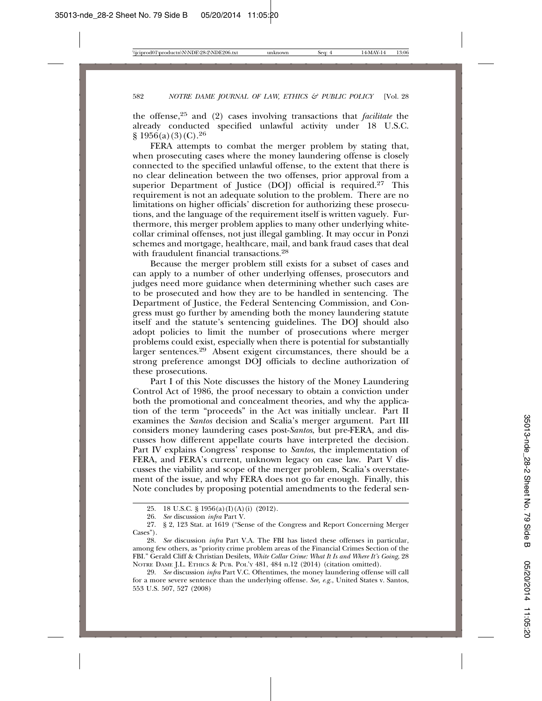the offense,25 and (2) cases involving transactions that *facilitate* the already conducted specified unlawful activity under 18 U.S.C.  $\frac{8}{956(a)}(3)(C).^{26}$ 

FERA attempts to combat the merger problem by stating that, when prosecuting cases where the money laundering offense is closely connected to the specified unlawful offense, to the extent that there is no clear delineation between the two offenses, prior approval from a superior Department of Justice (DOJ) official is required.<sup>27</sup> This requirement is not an adequate solution to the problem. There are no limitations on higher officials' discretion for authorizing these prosecutions, and the language of the requirement itself is written vaguely. Furthermore, this merger problem applies to many other underlying whitecollar criminal offenses, not just illegal gambling. It may occur in Ponzi schemes and mortgage, healthcare, mail, and bank fraud cases that deal with fraudulent financial transactions.<sup>28</sup>

Because the merger problem still exists for a subset of cases and can apply to a number of other underlying offenses, prosecutors and judges need more guidance when determining whether such cases are to be prosecuted and how they are to be handled in sentencing. The Department of Justice, the Federal Sentencing Commission, and Congress must go further by amending both the money laundering statute itself and the statute's sentencing guidelines. The DOJ should also adopt policies to limit the number of prosecutions where merger problems could exist, especially when there is potential for substantially larger sentences.<sup>29</sup> Absent exigent circumstances, there should be a strong preference amongst DOJ officials to decline authorization of these prosecutions.

Part I of this Note discusses the history of the Money Laundering Control Act of 1986, the proof necessary to obtain a conviction under both the promotional and concealment theories, and why the application of the term "proceeds" in the Act was initially unclear. Part II examines the *Santos* decision and Scalia's merger argument. Part III considers money laundering cases post-*Santos*, but pre-FERA, and discusses how different appellate courts have interpreted the decision. Part IV explains Congress' response to *Santos*, the implementation of FERA, and FERA's current, unknown legacy on case law. Part V discusses the viability and scope of the merger problem, Scalia's overstatement of the issue, and why FERA does not go far enough. Finally, this Note concludes by proposing potential amendments to the federal sen-

<sup>25. 18</sup> U.S.C. § 1956(a)(I)(A)(i) (2012).

<sup>26.</sup> *See* discussion *infra* Part V.

<sup>27. § 2, 123</sup> Stat. at 1619 ("Sense of the Congress and Report Concerning Merger Cases").

<sup>28.</sup> *See* discussion *infra* Part V.A. The FBI has listed these offenses in particular, among few others, as "priority crime problem areas of the Financial Crimes Section of the FBI." Gerald Cliff & Christian Desilets, *White Collar Crime: What It Is and Where It's Going*, 28 NOTRE DAME J.L. ETHICS & PUB. POL'Y 481, 484 n.12 (2014) (citation omitted).

<sup>29.</sup> *See* discussion *infra* Part V.C. Oftentimes, the money laundering offense will call for a more severe sentence than the underlying offense. *See, e.g.*, United States v. Santos, 553 U.S. 507, 527 (2008)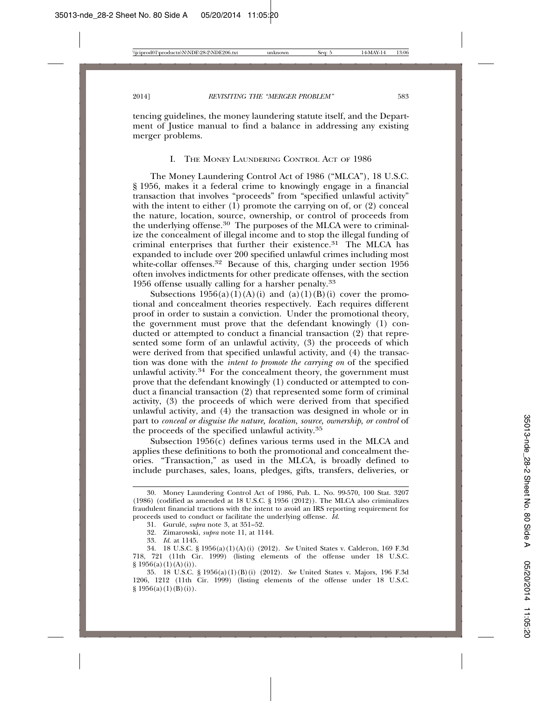tencing guidelines, the money laundering statute itself, and the Department of Justice manual to find a balance in addressing any existing merger problems.

#### I. THE MONEY LAUNDERING CONTROL ACT OF 1986

The Money Laundering Control Act of 1986 ("MLCA"), 18 U.S.C. § 1956, makes it a federal crime to knowingly engage in a financial transaction that involves "proceeds" from "specified unlawful activity" with the intent to either  $(1)$  promote the carrying on of, or  $(2)$  conceal the nature, location, source, ownership, or control of proceeds from the underlying offense.30 The purposes of the MLCA were to criminalize the concealment of illegal income and to stop the illegal funding of criminal enterprises that further their existence.<sup>31</sup> The MLCA has expanded to include over 200 specified unlawful crimes including most white-collar offenses.<sup>32</sup> Because of this, charging under section 1956 often involves indictments for other predicate offenses, with the section 1956 offense usually calling for a harsher penalty.33

Subsections  $1956(a)(1)(A)(i)$  and  $(a)(1)(B)(i)$  cover the promotional and concealment theories respectively. Each requires different proof in order to sustain a conviction. Under the promotional theory, the government must prove that the defendant knowingly (1) conducted or attempted to conduct a financial transaction (2) that represented some form of an unlawful activity, (3) the proceeds of which were derived from that specified unlawful activity, and (4) the transaction was done with the *intent to promote the carrying on* of the specified unlawful activity.<sup>34</sup> For the concealment theory, the government must prove that the defendant knowingly (1) conducted or attempted to conduct a financial transaction (2) that represented some form of criminal activity, (3) the proceeds of which were derived from that specified unlawful activity, and (4) the transaction was designed in whole or in part to *conceal or disguise the nature, location, source, ownership, or control* of the proceeds of the specified unlawful activity.<sup>35</sup>

Subsection 1956(c) defines various terms used in the MLCA and applies these definitions to both the promotional and concealment theories. "Transaction," as used in the MLCA, is broadly defined to include purchases, sales, loans, pledges, gifts, transfers, deliveries, or

35. 18 U.S.C. § 1956(a)(1)(B)(i) (2012). *See* United States v. Majors, 196 F.3d 1206, 1212 (11th Cir. 1999) (listing elements of the offense under 18 U.S.C.  $§ 1956(a)(1)(B)(i)).$ 

<sup>30.</sup> Money Laundering Control Act of 1986, Pub. L. No. 99-570, 100 Stat. 3207 (1986) (codified as amended at 18 U.S.C. § 1956 (2012)). The MLCA also criminalizes fraudulent financial tractions with the intent to avoid an IRS reporting requirement for proceeds used to conduct or facilitate the underlying offense. *Id*.

<sup>31.</sup> Gurule,´ *supra* note 3, at 351–52.

<sup>32.</sup> Zimarowski, *supra* note 11, at 1144.

<sup>33.</sup> *Id.* at 1145.

<sup>34. 18</sup> U.S.C. § 1956(a)(1)(A)(i) (2012). *See* United States v. Calderon, 169 F.3d 718, 721 (11th Cir. 1999) (listing elements of the offense under 18 U.S.C.  $§ 1956(a)(1)(A)(i)).$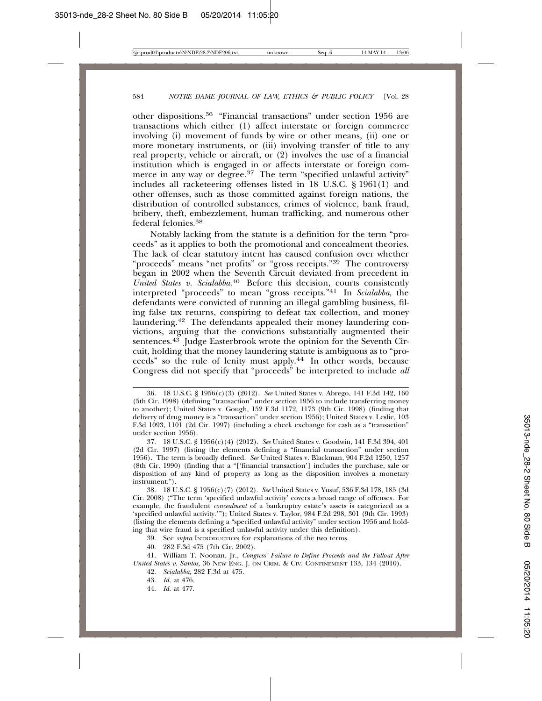other dispositions.36 "Financial transactions" under section 1956 are transactions which either (1) affect interstate or foreign commerce involving (i) movement of funds by wire or other means, (ii) one or more monetary instruments, or (iii) involving transfer of title to any real property, vehicle or aircraft, or (2) involves the use of a financial institution which is engaged in or affects interstate or foreign commerce in any way or degree.<sup>37</sup> The term "specified unlawful activity" includes all racketeering offenses listed in 18 U.S.C. § 1961(1) and other offenses, such as those committed against foreign nations, the distribution of controlled substances, crimes of violence, bank fraud, bribery, theft, embezzlement, human trafficking, and numerous other federal felonies.38

Notably lacking from the statute is a definition for the term "proceeds" as it applies to both the promotional and concealment theories. The lack of clear statutory intent has caused confusion over whether "proceeds" means "net profits" or "gross receipts."39 The controversy began in 2002 when the Seventh Circuit deviated from precedent in *United States v. Scialabba*. 40 Before this decision, courts consistently interpreted "proceeds" to mean "gross receipts."41 In *Scialabba*, the defendants were convicted of running an illegal gambling business, filing false tax returns, conspiring to defeat tax collection, and money laundering.42 The defendants appealed their money laundering convictions, arguing that the convictions substantially augmented their sentences. $43$  Judge Easterbrook wrote the opinion for the Seventh Circuit, holding that the money laundering statute is ambiguous as to "proceeds" so the rule of lenity must apply.44 In other words, because Congress did not specify that "proceeds" be interpreted to include *all*

<sup>36. 18</sup> U.S.C. § 1956(c)(3) (2012). *See* United States v. Abrego, 141 F.3d 142, 160 (5th Cir. 1998) (defining "transaction" under section 1956 to include transferring money to another); United States v. Gough, 152 F.3d 1172, 1173 (9th Cir. 1998) (finding that delivery of drug money is a "transaction" under section 1956); United States v. Leslie, 103 F.3d 1093, 1101 (2d Cir. 1997) (including a check exchange for cash as a "transaction" under section 1956).

<sup>37. 18</sup> U.S.C. § 1956(c)(4) (2012). *See* United States v. Goodwin, 141 F.3d 394, 401 (2d Cir. 1997) (listing the elements defining a "financial transaction" under section 1956). The term is broadly defined. *See* United States v. Blackman, 904 F.2d 1250, 1257 (8th Cir. 1990) (finding that a "['financial transaction'] includes the purchase, sale or disposition of any kind of property as long as the disposition involves a monetary instrument.").

<sup>38. 18</sup> U.S.C. § 1956(c)(7) (2012). *See* United States v. Yusuf, 536 F.3d 178, 185 (3d Cir. 2008) ("The term 'specified unlawful activity' covers a broad range of offenses. For example, the fraudulent *concealment* of a bankruptcy estate's assets is categorized as a 'specified unlawful activity.'"); United States v. Taylor, 984 F.2d 298, 301 (9th Cir. 1993) (listing the elements defining a "specified unlawful activity" under section 1956 and holding that wire fraud is a specified unlawful activity under this definition).

<sup>39.</sup> See *supra* INTRODUCTION for explanations of the two terms.

<sup>40. 282</sup> F.3d 475 (7th Cir. 2002).

<sup>41.</sup> William T. Noonan, Jr., *Congress' Failure to Define Proceeds and the Fallout After United States v. Santos,* 36 NEW ENG. J. ON CRIM. & CIV. CONFINEMENT 133, 134 (2010).

<sup>42.</sup> *Scialabba*, 282 F.3d at 475.

<sup>43.</sup> *Id.* at 476.

<sup>44.</sup> *Id.* at 477.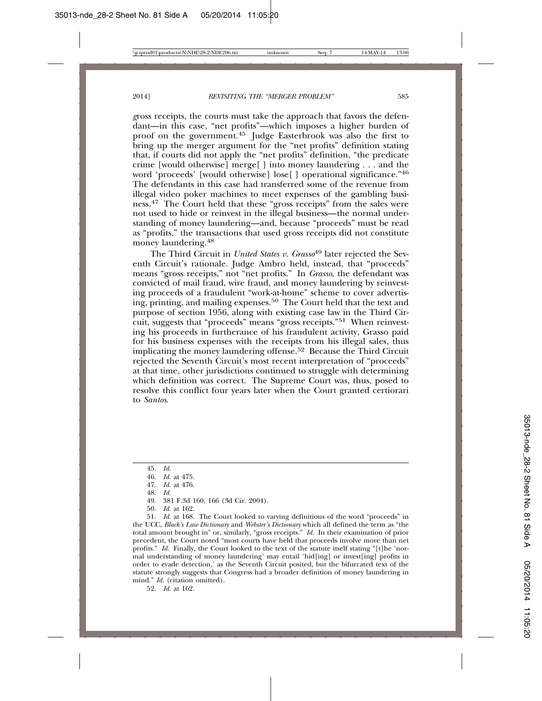*g*ross receipts, the courts must take the approach that favors the defendant—in this case, "net profits"—which imposes a higher burden of proof on the government.45 Judge Easterbrook was also the first to bring up the merger argument for the "net profits" definition stating that, if courts did not apply the "net profits" definition, "the predicate crime [would otherwise] merge[ ] into money laundering . . . and the word 'proceeds' [would otherwise] lose[ ] operational significance."46 The defendants in this case had transferred some of the revenue from illegal video poker machines to meet expenses of the gambling business.47 The Court held that these "gross receipts" from the sales were not used to hide or reinvest in the illegal business—the normal understanding of money laundering—and, because "proceeds" must be read as "profits," the transactions that used gross receipts did not constitute money laundering.48

The Third Circuit in *United States v. Grasso*<sup>49</sup> later rejected the Seventh Circuit's rationale. Judge Ambro held, instead, that "proceeds" means "gross receipts," not "net profits." In *Grasso*, the defendant was convicted of mail fraud, wire fraud, and money laundering by reinvesting proceeds of a fraudulent "work-at-home" scheme to cover advertising, printing, and mailing expenses.<sup>50</sup> The Court held that the text and purpose of section 1956, along with existing case law in the Third Circuit, suggests that "proceeds" means "gross receipts."51 When reinvesting his proceeds in furtherance of his fraudulent activity, Grasso paid for his business expenses with the receipts from his illegal sales, thus implicating the money laundering offense.52 Because the Third Circuit rejected the Seventh Circuit's most recent interpretation of "proceeds" at that time*,* other jurisdictions continued to struggle with determining which definition was correct. The Supreme Court was, thus, posed to resolve this conflict four years later when the Court granted certiorari to *Santos*.

50. *Id.* at 162.

51. *Id.* at 168. The Court looked to varying definitions of the word "proceeds" in the UCC, *Black's Law Dictionary* and *Webster's Dictionary* which all defined the term as "the total amount brought in" or, similarly, "gross receipts." *Id.* In their examination of prior precedent, the Court noted "most courts have held that proceeds involve more than net profits." *Id.* Finally, the Court looked to the text of the statute itself stating "[t]he 'normal understanding of money laundering' may entail 'hid[ing] or invest[ing] profits in order to evade detection,' as the Seventh Circuit posited, but the bifurcated text of the statute strongly suggests that Congress had a broader definition of money laundering in mind." *Id.* (citation omitted).

52. *Id.* at 162.

<sup>45.</sup> *Id.*

<sup>46.</sup> *Id.* at 475.

<sup>47.</sup> *Id.* at 476.

<sup>48.</sup> *Id.*

<sup>49. 381</sup> F.3d 160, 166 (3d Cir. 2004).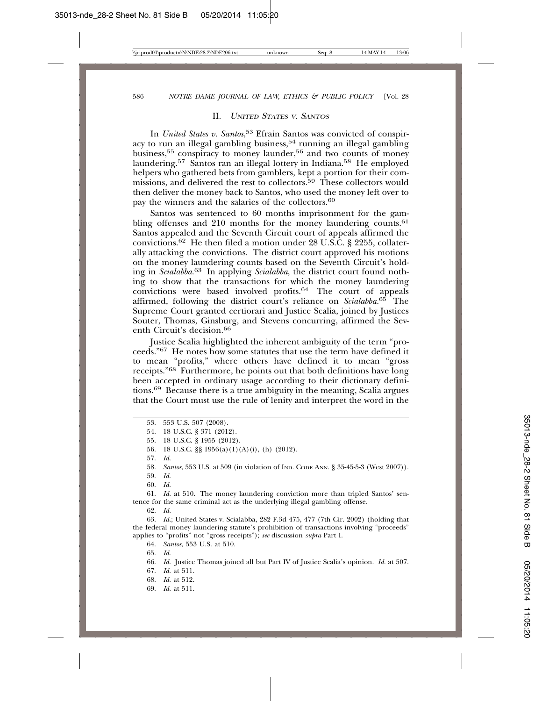#### II. <sup>U</sup>NITED STATES <sup>V</sup>. SANTOS

In *United States v. Santos*, 53 Efrain Santos was convicted of conspiracy to run an illegal gambling business,  $54$  running an illegal gambling business,<sup>55</sup> conspiracy to money launder,<sup>56</sup> and two counts of money laundering.57 Santos ran an illegal lottery in Indiana.58 He employed helpers who gathered bets from gamblers, kept a portion for their commissions, and delivered the rest to collectors.<sup>59</sup> These collectors would then deliver the money back to Santos, who used the money left over to pay the winners and the salaries of the collectors.60

Santos was sentenced to 60 months imprisonment for the gambling offenses and 210 months for the money laundering counts.<sup>61</sup> Santos appealed and the Seventh Circuit court of appeals affirmed the convictions.62 He then filed a motion under 28 U.S.C. § 2255, collaterally attacking the convictions. The district court approved his motions on the money laundering counts based on the Seventh Circuit's holding in *Scialabba*. 63 In applying *Scialabba*, the district court found nothing to show that the transactions for which the money laundering convictions were based involved profits.64 The court of appeals affirmed, following the district court's reliance on *Scialabba.*65 The Supreme Court granted certiorari and Justice Scalia, joined by Justices Souter, Thomas, Ginsburg, and Stevens concurring, affirmed the Seventh Circuit's decision.66

Justice Scalia highlighted the inherent ambiguity of the term "proceeds."67 He notes how some statutes that use the term have defined it to mean "profits," where others have defined it to mean "gross receipts."68 Furthermore, he points out that both definitions have long been accepted in ordinary usage according to their dictionary definitions.69 Because there is a true ambiguity in the meaning, Scalia argues that the Court must use the rule of lenity and interpret the word in the

56. 18 U.S.C. §§ 1956(a)(1)(A)(i), (h) (2012).

- 58. *Santos*, 553 U.S. at 509 (in violation of IND. CODE ANN. § 35-45-5-3 (West 2007)).
- 59. *Id.*
- 60. *Id.*

61. *Id.* at 510. The money laundering conviction more than tripled Santos' sentence for the same criminal act as the underlying illegal gambling offense.

62. *Id.*

63. *Id.*; United States v. Scialabba, 282 F.3d 475, 477 (7th Cir. 2002) (holding that the federal money laundering statute's prohibition of transactions involving "proceeds" applies to "profits" not "gross receipts"); *see* discussion *supra* Part I.

64. *Santos*, 553 U.S. at 510.

- 65. *Id.*
- 66. *Id.* Justice Thomas joined all but Part IV of Justice Scalia's opinion. *Id.* at 507.
- 67. *Id.* at 511.
- 68. *Id.* at 512.
- 69. *Id.* at 511.

<sup>53. 553</sup> U.S. 507 (2008).

<sup>54. 18</sup> U.S.C. § 371 (2012).

<sup>55. 18</sup> U.S.C. § 1955 (2012).

<sup>57.</sup> *Id.*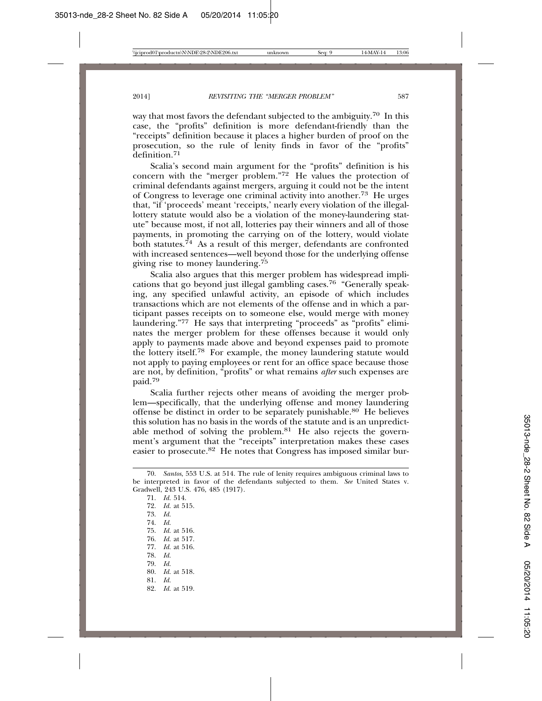way that most favors the defendant subjected to the ambiguity.<sup>70</sup> In this case, the "profits" definition is more defendant-friendly than the "receipts" definition because it places a higher burden of proof on the prosecution, so the rule of lenity finds in favor of the "profits"  $\tilde{d}$ efinition<sup>71</sup>

Scalia's second main argument for the "profits" definition is his concern with the "merger problem."72 He values the protection of criminal defendants against mergers, arguing it could not be the intent of Congress to leverage one criminal activity into another.73 He urges that, "if 'proceeds' meant 'receipts,' nearly every violation of the illegallottery statute would also be a violation of the money-laundering statute" because most, if not all, lotteries pay their winners and all of those payments, in promoting the carrying on of the lottery, would violate both statutes.74 As a result of this merger, defendants are confronted with increased sentences—well beyond those for the underlying offense giving rise to money laundering.75

Scalia also argues that this merger problem has widespread implications that go beyond just illegal gambling cases.76 "Generally speaking, any specified unlawful activity, an episode of which includes transactions which are not elements of the offense and in which a participant passes receipts on to someone else, would merge with money laundering."77 He says that interpreting "proceeds" as "profits" eliminates the merger problem for these offenses because it would only apply to payments made above and beyond expenses paid to promote the lottery itself.78 For example, the money laundering statute would not apply to paying employees or rent for an office space because those are not, by definition, "profits" or what remains *after* such expenses are paid.<sup>79</sup>

Scalia further rejects other means of avoiding the merger problem—specifically, that the underlying offense and money laundering offense be distinct in order to be separately punishable.80 He believes this solution has no basis in the words of the statute and is an unpredictable method of solving the problem.<sup>81</sup> He also rejects the government's argument that the "receipts" interpretation makes these cases easier to prosecute.<sup>82</sup> He notes that Congress has imposed similar bur-

71. *Id.* 514. 72. *Id.* at 515. 73. *Id.* 74. *Id.* 75. *Id.* at 516. 76. *Id.* at 517. 77. *Id.* at 516. 78. *Id.* 79. *Id.* 80. *Id.* at 518. 81. *Id.* 82. *Id.* at 519.

<sup>70.</sup> *Santos*, 553 U.S. at 514. The rule of lenity requires ambiguous criminal laws to be interpreted in favor of the defendants subjected to them. *See* United States v. Gradwell, 243 U.S. 476, 485 (1917).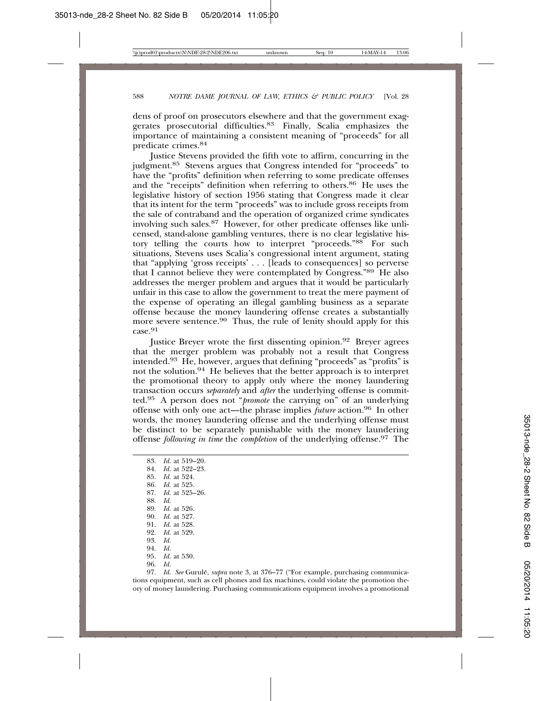dens of proof on prosecutors elsewhere and that the government exaggerates prosecutorial difficulties.<sup>83</sup> Finally, Scalia emphasizes the importance of maintaining a consistent meaning of "proceeds" for all predicate crimes.84

Justice Stevens provided the fifth vote to affirm, concurring in the judgment.85 Stevens argues that Congress intended for "proceeds" to have the "profits" definition when referring to some predicate offenses and the "receipts" definition when referring to others.<sup>86</sup> He uses the legislative history of section 1956 stating that Congress made it clear that its intent for the term "proceeds" was to include gross receipts from the sale of contraband and the operation of organized crime syndicates involving such sales.<sup>87</sup> However, for other predicate offenses like unlicensed, stand-alone gambling ventures, there is no clear legislative history telling the courts how to interpret "proceeds."88 For such situations, Stevens uses Scalia's congressional intent argument, stating that "applying 'gross receipts' . . . [leads to consequences] so perverse that I cannot believe they were contemplated by Congress." $89$  He also addresses the merger problem and argues that it would be particularly unfair in this case to allow the government to treat the mere payment of the expense of operating an illegal gambling business as a separate offense because the money laundering offense creates a substantially more severe sentence.<sup>90</sup> Thus, the rule of lenity should apply for this case.<sup>91</sup>

Justice Breyer wrote the first dissenting opinion.<sup>92</sup> Breyer agrees that the merger problem was probably not a result that Congress intended.93 He, however, argues that defining "proceeds" as "profits" is not the solution.94 He believes that the better approach is to interpret the promotional theory to apply only where the money laundering transaction occurs *separately* and *after* the underlying offense is committed.95 A person does not "*promote* the carrying on" of an underlying offense with only one act—the phrase implies *future* action.96 In other words, the money laundering offense and the underlying offense must be distinct to be separately punishable with the money laundering offense *following in time* the *completion* of the underlying offense.97 The

83. *Id.* at 519–20. 84. *Id.* at 522–23. 85. *Id.* at 524. 86. *Id.* at 525. 87. *Id.* at 525–26. 88. *Id.* 89. *Id.* at 526. 90. *Id.* at 527. 91. *Id.* at 528. 92. *Id.* at 529. 93. *Id.* 94. *Id.* 95. *Id.* at 530. 96. *Id.*

97. *Id. See* Gurulé, *supra* note 3, at 376–77 ("For example, purchasing communications equipment, such as cell phones and fax machines, could violate the promotion theory of money laundering. Purchasing communications equipment involves a promotional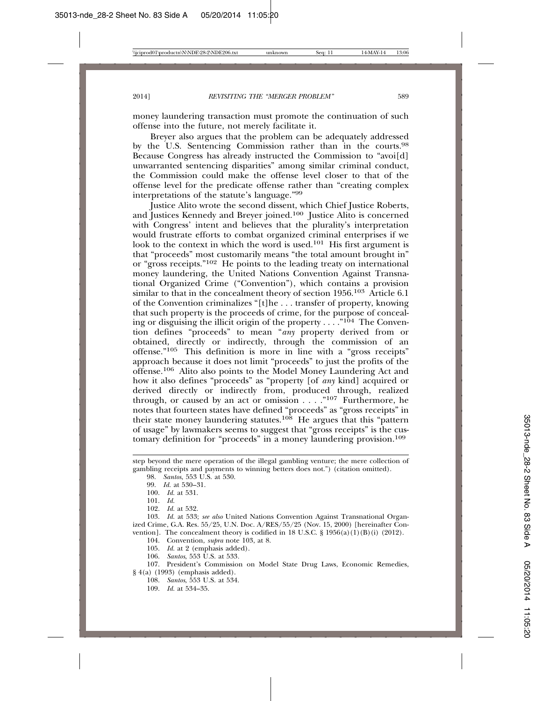money laundering transaction must promote the continuation of such offense into the future, not merely facilitate it.

Breyer also argues that the problem can be adequately addressed by the U.S. Sentencing Commission rather than in the courts.<sup>98</sup> Because Congress has already instructed the Commission to "avoi[d] unwarranted sentencing disparities" among similar criminal conduct, the Commission could make the offense level closer to that of the offense level for the predicate offense rather than "creating complex interpretations of the statute's language."99

Justice Alito wrote the second dissent, which Chief Justice Roberts, and Justices Kennedy and Breyer joined.<sup>100</sup> Justice Alito is concerned with Congress' intent and believes that the plurality's interpretation would frustrate efforts to combat organized criminal enterprises if we look to the context in which the word is used.<sup>101</sup> His first argument is that "proceeds" most customarily means "the total amount brought in" or "gross receipts."102 He points to the leading treaty on international money laundering, the United Nations Convention Against Transnational Organized Crime ("Convention"), which contains a provision similar to that in the concealment theory of section 1956.<sup>103</sup> Article 6.1 of the Convention criminalizes "[t]he . . . transfer of property, knowing that such property is the proceeds of crime, for the purpose of concealing or disguising the illicit origin of the property  $\dots$  . ."<sup>104</sup> The Convention defines "proceeds" to mean "*any* property derived from or obtained, directly or indirectly, through the commission of an offense."105 This definition is more in line with a "gross receipts" approach because it does not limit "proceeds" to just the profits of the offense.106 Alito also points to the Model Money Laundering Act and how it also defines "proceeds" as "property [of *any* kind] acquired or derived directly or indirectly from, produced through, realized through, or caused by an act or omission  $\dots$ ."<sup>107</sup> Furthermore, he notes that fourteen states have defined "proceeds" as "gross receipts" in their state money laundering statutes.<sup>108</sup> He argues that this "pattern" of usage" by lawmakers seems to suggest that "gross receipts" is the customary definition for "proceeds" in a money laundering provision.<sup>109</sup>

- 104. Convention, *supra* note 103, at 8.
- 105. *Id.* at 2 (emphasis added).
- 106. *Santos*, 553 U.S. at 533*.*

107. President's Commission on Model State Drug Laws, Economic Remedies, § 4(a) (1993) (emphasis added).

- 108. *Santos*, 553 U.S. at 534.
- 109. *Id.* at 534–35.

step beyond the mere operation of the illegal gambling venture; the mere collection of gambling receipts and payments to winning betters does not.") (citation omitted).

<sup>98.</sup> *Santos*, 553 U.S. at 530.

<sup>99.</sup> *Id.* at 530–31.

<sup>100.</sup> *Id.* at 531.

<sup>101.</sup> *Id.*

<sup>102.</sup> *Id.* at 532.

<sup>103.</sup> *Id.* at 533; *see also* United Nations Convention Against Transnational Organized Crime, G.A. Res. 55/25, U.N. Doc. A/RES/55/25 (Nov. 15, 2000) [hereinafter Convention]. The concealment theory is codified in 18 U.S.C.  $\S$  1956(a)(1)(B)(i) (2012).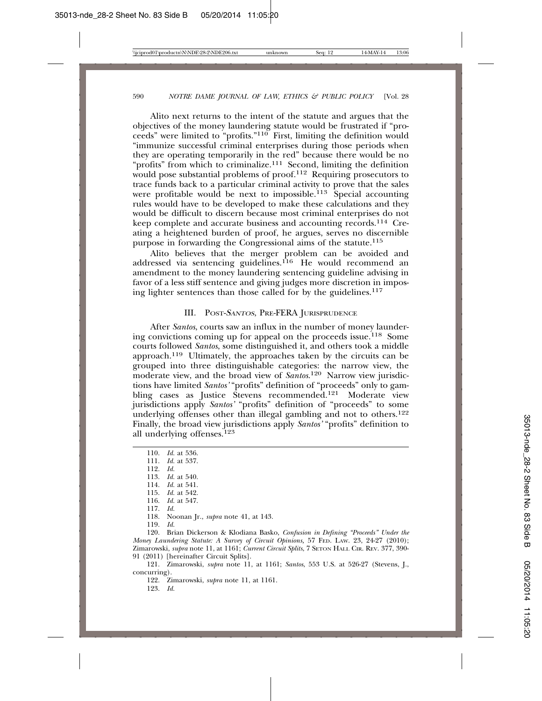Alito next returns to the intent of the statute and argues that the objectives of the money laundering statute would be frustrated if "proceeds" were limited to "profits."110 First, limiting the definition would "immunize successful criminal enterprises during those periods when they are operating temporarily in the red" because there would be no "profits" from which to criminalize.<sup>111</sup> Second, limiting the definition would pose substantial problems of proof.<sup>112</sup> Requiring prosecutors to trace funds back to a particular criminal activity to prove that the sales were profitable would be next to impossible.<sup>113</sup> Special accounting rules would have to be developed to make these calculations and they would be difficult to discern because most criminal enterprises do not keep complete and accurate business and accounting records.114 Creating a heightened burden of proof, he argues, serves no discernible purpose in forwarding the Congressional aims of the statute.<sup>115</sup>

Alito believes that the merger problem can be avoided and addressed via sentencing guidelines.<sup>116</sup> He would recommend an amendment to the money laundering sentencing guideline advising in favor of a less stiff sentence and giving judges more discretion in imposing lighter sentences than those called for by the guidelines.117

#### III. POST-<sup>S</sup>ANTOS, PRE-FERA JURISPRUDENCE

After *Santos*, courts saw an influx in the number of money laundering convictions coming up for appeal on the proceeds issue.118 Some courts followed *Santos*, some distinguished it, and others took a middle approach.119 Ultimately, the approaches taken by the circuits can be grouped into three distinguishable categories: the narrow view, the moderate view, and the broad view of *Santos*. 120 Narrow view jurisdictions have limited *Santos'* "profits" definition of "proceeds" only to gambling cases as Justice Stevens recommended.<sup>121</sup> Moderate view jurisdictions apply *Santos'* "profits" definition of "proceeds" to some underlying offenses other than illegal gambling and not to others.<sup>122</sup> Finally, the broad view jurisdictions apply *Santos'* "profits" definition to all underlying offenses.123

110. *Id.* at 536. 111. *Id.* at 537. 112. *Id.* 113. *Id.* at 540. 114. *Id.* at 541. 115. *Id.* at 542. 116. *Id.* at 547. 117. *Id.* 118. Noonan Jr., *supra* note 41, at 143. 119. *Id.*

120. Brian Dickerson & Klodiana Basko, *Confusion in Defining "Proceeds" Under the Money Laundering Statute: A Survey of Circuit Opinions,* 57 FED. LAW. 23, 24-27 (2010); Zimarowski, *supra* note 11, at 1161; *Current Circuit Splits*, 7 SETON HALL CIR. REV. 377, 390- 91 (2011) [hereinafter Circuit Splits].

121. Zimarowski, *supra* note 11, at 1161; *Santos*, 553 U.S. at 526-27 (Stevens, J., concurring).

122. Zimarowski, *supra* note 11, at 1161.

123. *Id.*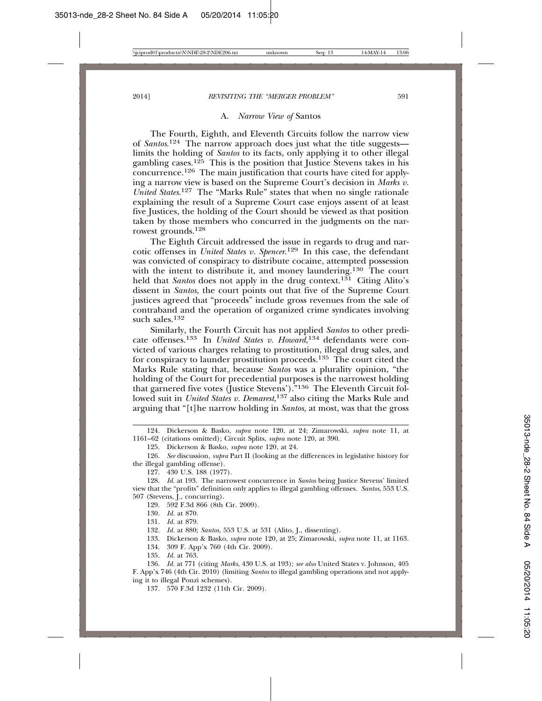#### A. *Narrow View of* Santos

The Fourth, Eighth, and Eleventh Circuits follow the narrow view of *Santos.*<sup>124</sup> The narrow approach does just what the title suggestslimits the holding of *Santos* to its facts, only applying it to other illegal gambling cases.<sup>125</sup> This is the position that Justice Stevens takes in his concurrence.126 The main justification that courts have cited for applying a narrow view is based on the Supreme Court's decision in *Marks v. United States*. <sup>127</sup> The "Marks Rule" states that when no single rationale explaining the result of a Supreme Court case enjoys assent of at least five Justices, the holding of the Court should be viewed as that position taken by those members who concurred in the judgments on the narrowest grounds.128

The Eighth Circuit addressed the issue in regards to drug and narcotic offenses in *United States v. Spencer*. <sup>129</sup> In this case, the defendant was convicted of conspiracy to distribute cocaine, attempted possession with the intent to distribute it, and money laundering.<sup>130</sup> The court held that *Santos* does not apply in the drug context.<sup>131</sup> Citing Alito's dissent in *Santos,* the court points out that five of the Supreme Court justices agreed that "proceeds" include gross revenues from the sale of contraband and the operation of organized crime syndicates involving such sales.132

Similarly, the Fourth Circuit has not applied *Santos* to other predicate offenses.133 In *United States v. Howard*, 134 defendants were convicted of various charges relating to prostitution, illegal drug sales, and for conspiracy to launder prostitution proceeds.<sup>135</sup> The court cited the Marks Rule stating that, because *Santos* was a plurality opinion, "the holding of the Court for precedential purposes is the narrowest holding that garnered five votes (Justice Stevens')."136 The Eleventh Circuit followed suit in *United States v. Demarest*, 137 also citing the Marks Rule and arguing that "[t]he narrow holding in *Santos,* at most, was that the gross

129. 592 F.3d 866 (8th Cir. 2009).

130. *Id.* at 870.

131. *Id.* at 879.

133. Dickerson & Basko, *supra* note 120, at 25; Zimarowski, *supra* note 11, at 1163.

134. 309 F. App'x 760 (4th Cir. 2009).

135. *Id.* at 763.

136. *Id.* at 771 (citing *Marks*, 430 U.S. at 193); *see also* United States v. Johnson*,* 405 F. App'x 746 (4th Cir. 2010) (limiting *Santos* to illegal gambling operations and not applying it to illegal Ponzi schemes).

137. 570 F.3d 1232 (11th Cir. 2009).

<sup>124.</sup> Dickerson & Basko, *supra* note 120, at 24; Zimarowski, *supra* note 11, at 1161–62 (citations omitted); Circuit Splits, *supra* note 120, at 390.

<sup>125.</sup> Dickerson & Basko, *supra* note 120, at 24.

<sup>126.</sup> *See* discussion, *supra* Part II (looking at the differences in legislative history for the illegal gambling offense).

<sup>127. 430</sup> U.S. 188 (1977).

<sup>128.</sup> *Id.* at 193. The narrowest concurrence in *Santos* being Justice Stevens' limited view that the "profits" definition only applies to illegal gambling offenses. *Santos*, 553 U.S. 507 (Stevens, J., concurring).

<sup>132.</sup> *Id.* at 880; *Santos*, 553 U.S. at 531 (Alito, J., dissenting).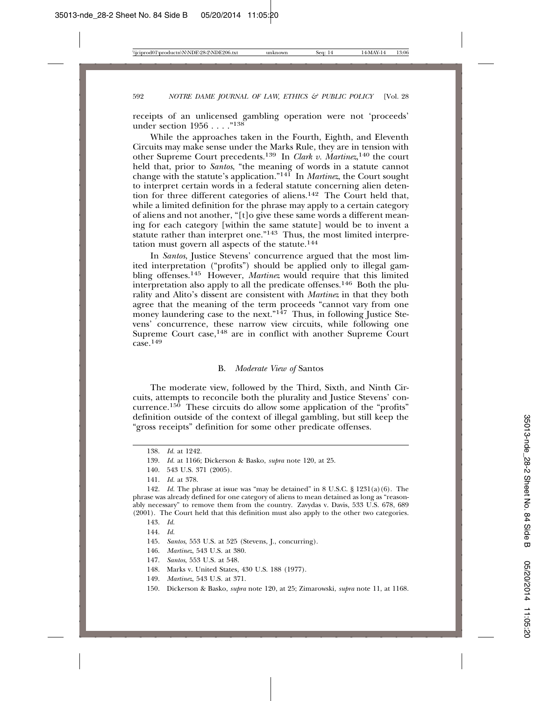receipts of an unlicensed gambling operation were not 'proceeds' under section 1956 . . . . "<sup>138</sup>

While the approaches taken in the Fourth, Eighth, and Eleventh Circuits may make sense under the Marks Rule, they are in tension with other Supreme Court precedents.<sup>139</sup> In *Clark v. Martinez*,<sup>140</sup> the court held that, prior to *Santos*, "the meaning of words in a statute cannot change with the statute's application."141 In *Martinez*, the Court sought to interpret certain words in a federal statute concerning alien detention for three different categories of aliens.142 The Court held that, while a limited definition for the phrase may apply to a certain category of aliens and not another, "[t]o give these same words a different meaning for each category [within the same statute] would be to invent a statute rather than interpret one."<sup>143</sup> Thus, the most limited interpretation must govern all aspects of the statute. $144$ 

In *Santos*, Justice Stevens' concurrence argued that the most limited interpretation ("profits") should be applied only to illegal gambling offenses.<sup>145</sup> However, *Martinez* would require that this limited interpretation also apply to all the predicate offenses.146 Both the plurality and Alito's dissent are consistent with *Martinez* in that they both agree that the meaning of the term proceeds "cannot vary from one money laundering case to the next." $147$  Thus, in following Justice Stevens' concurrence, these narrow view circuits, while following one Supreme Court case,<sup>148</sup> are in conflict with another Supreme Court  $\csc 149$ 

#### B. *Moderate View of* Santos

The moderate view, followed by the Third, Sixth, and Ninth Circuits, attempts to reconcile both the plurality and Justice Stevens' concurrence.150 These circuits do allow some application of the "profits" definition outside of the context of illegal gambling, but still keep the "gross receipts" definition for some other predicate offenses.

142. *Id.* The phrase at issue was "may be detained" in 8 U.S.C. § 1231(a)(6). The phrase was already defined for one category of aliens to mean detained as long as "reasonably necessary" to remove them from the country. Zavydas v. Davis, 533 U.S. 678, 689 (2001). The Court held that this definition must also apply to the other two categories.

- 145. *Santos*, 553 U.S. at 525 (Stevens, J., concurring).
- 146. *Martinez*, 543 U.S. at 380.
- 147. *Santos*, 553 U.S. at 548.
- 148. Marks v. United States, 430 U.S. 188 (1977).
- 149. *Martinez*, 543 U.S. at 371.
- 150. Dickerson & Basko, *supra* note 120, at 25; Zimarowski, *supra* note 11, at 1168.

<sup>138.</sup> *Id.* at 1242.

<sup>139.</sup> *Id.* at 1166; Dickerson & Basko, *supra* note 120, at 25.

<sup>140. 543</sup> U.S. 371 (2005).

<sup>141.</sup> *Id.* at 378.

<sup>143.</sup> *Id.*

<sup>144.</sup> *Id.*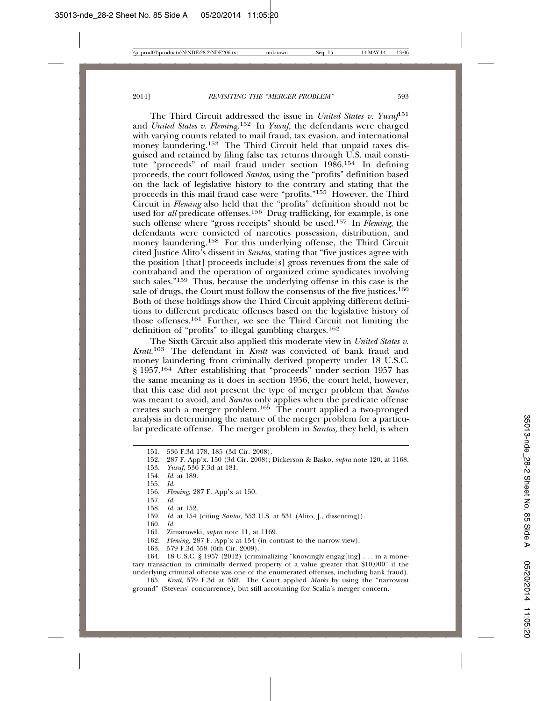The Third Circuit addressed the issue in *United States v. Yusuf*<sup>151</sup> and *United States v. Fleming*. 152 In *Yusuf,* the defendants were charged with varying counts related to mail fraud, tax evasion, and international money laundering.<sup>153</sup> The Third Circuit held that unpaid taxes disguised and retained by filing false tax returns through U.S. mail constitute "proceeds" of mail fraud under section 1986.154 In defining proceeds, the court followed *Santos*, using the "profits" definition based on the lack of legislative history to the contrary and stating that the proceeds in this mail fraud case were "profits."155 However, the Third Circuit in *Fleming* also held that the "profits" definition should not be used for *all* predicate offenses.<sup>156</sup> Drug trafficking, for example, is one such offense where "gross receipts" should be used.157 In *Fleming*, the defendants were convicted of narcotics possession, distribution, and money laundering.158 For this underlying offense, the Third Circuit cited Justice Alito's dissent in *Santos*, stating that "five justices agree with the position [that] proceeds include[s] gross revenues from the sale of contraband and the operation of organized crime syndicates involving such sales."159 Thus, because the underlying offense in this case is the sale of drugs, the Court must follow the consensus of the five justices.<sup>160</sup> Both of these holdings show the Third Circuit applying different definitions to different predicate offenses based on the legislative history of those offenses.161 Further, we see the Third Circuit not limiting the definition of "profits" to illegal gambling charges.162

The Sixth Circuit also applied this moderate view in *United States v. Kratt*. 163 The defendant in *Kratt* was convicted of bank fraud and money laundering from criminally derived property under 18 U.S.C. § 1957.164 After establishing that "proceeds" under section 1957 has the same meaning as it does in section 1956, the court held, however, that this case did not present the type of merger problem that *Santos* was meant to avoid, and *Santos* only applies when the predicate offense creates such a merger problem.165 The court applied a two-pronged analysis in determining the nature of the merger problem for a particular predicate offense. The merger problem in *Santos,* they held, is when

| 151. 536 F.3d 178, 185 (3d Cir. 2008). |  |
|----------------------------------------|--|
|----------------------------------------|--|

152. 287 F. App'x. 150 (3d Cir. 2008); Dickerson & Basko, *supra* note 120, at 1168.

153. *Yusuf*, 536 F.3d at 181.

- 154. *Id.* at 189.
- 155. *Id.*
- 156. *Fleming*, 287 F. App'x at 150.
- 157. *Id.*
- 158. *Id.* at 152.

159. *Id.* at 154 (citing *Santos*, 553 U.S. at 531 (Alito, J., dissenting)).

- 160. *Id.*
- 161. Zimarowski, *supra* note 11, at 1169.
- 162. *Fleming*, 287 F. App'x at 154 (in contrast to the narrow view).
- 163. 579 F.3d 558 (6th Cir. 2009).

164. 18 U.S.C. § 1957 (2012) (criminalizing "knowingly engag[ing] . . . in a monetary transaction in criminally derived property of a value greater that \$10,000" if the underlying criminal offense was one of the enumerated offenses, including bank fraud).

165. *Kratt*, 579 F.3d at 562. The Court applied *Marks* by using the "narrowest ground" (Stevens' concurrence), but still accounting for Scalia's merger concern.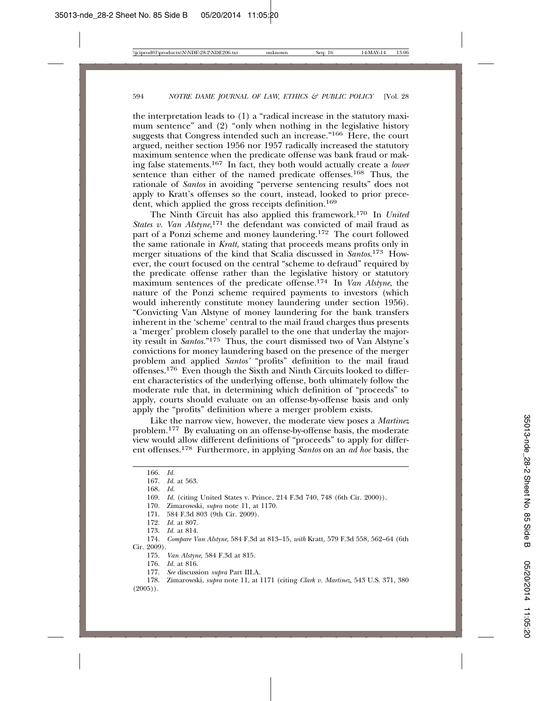the interpretation leads to (1) a "radical increase in the statutory maximum sentence" and (2) "only when nothing in the legislative history suggests that Congress intended such an increase."<sup>166</sup> Here, the court argued, neither section 1956 nor 1957 radically increased the statutory maximum sentence when the predicate offense was bank fraud or making false statements.167 In fact, they both would actually create a *lower* sentence than either of the named predicate offenses.168 Thus, the rationale of *Santos* in avoiding "perverse sentencing results" does not apply to Kratt's offenses so the court, instead, looked to prior precedent, which applied the gross receipts definition.<sup>169</sup>

The Ninth Circuit has also applied this framework.170 In *United* States v. Van Alstyne,<sup>171</sup> the defendant was convicted of mail fraud as part of a Ponzi scheme and money laundering.172 The court followed the same rationale in *Kratt,* stating that proceeds means profits only in merger situations of the kind that Scalia discussed in *Santos*. 173 However, the court focused on the central "scheme to defraud" required by the predicate offense rather than the legislative history or statutory maximum sentences of the predicate offense.174 In *Van Alstyne*, the nature of the Ponzi scheme required payments to investors (which would inherently constitute money laundering under section 1956). "Convicting Van Alstyne of money laundering for the bank transfers inherent in the 'scheme' central to the mail fraud charges thus presents a 'merger' problem closely parallel to the one that underlay the majority result in *Santos.*"175 Thus, the court dismissed two of Van Alstyne's convictions for money laundering based on the presence of the merger problem and applied *Santos'* "profits" definition to the mail fraud offenses.176 Even though the Sixth and Ninth Circuits looked to different characteristics of the underlying offense, both ultimately follow the moderate rule that, in determining which definition of "proceeds" to apply, courts should evaluate on an offense-by-offense basis and only apply the "profits" definition where a merger problem exists.

Like the narrow view, however, the moderate view poses a *Martinez* problem.177 By evaluating on an offense-by-offense basis, the moderate view would allow different definitions of "proceeds" to apply for different offenses.178 Furthermore, in applying *Santos* on an *ad hoc* basis, the

<sup>166.</sup> *Id.*

<sup>167.</sup> *Id.* at 563.

<sup>168.</sup> *Id.*

<sup>169.</sup> *Id.* (citing United States v. Prince, 214 F.3d 740, 748 (6th Cir. 2000)).

<sup>170.</sup> Zimarowski, *supra* note 11, at 1170.

<sup>171. 584</sup> F.3d 803 (9th Cir. 2009).

<sup>172.</sup> *Id.* at 807.

<sup>173.</sup> *Id.* at 814.

<sup>174.</sup> *Compare Van Alstyne*, 584 F.3d at 813–15, *with* Kratt*,* 579 F.3d 558, 562–64 (6th Cir. 2009).

<sup>175.</sup> *Van Alstyne*, 584 F.3d at 815.

<sup>176.</sup> *Id.* at 816.

<sup>177.</sup> *See* discussion *supra* Part III.A.

<sup>178.</sup> Zimarowski, *supra* note 11, at 1171 (citing *Clark v. Martinez,* 543 U.S. 371, 380  $(2005)$ .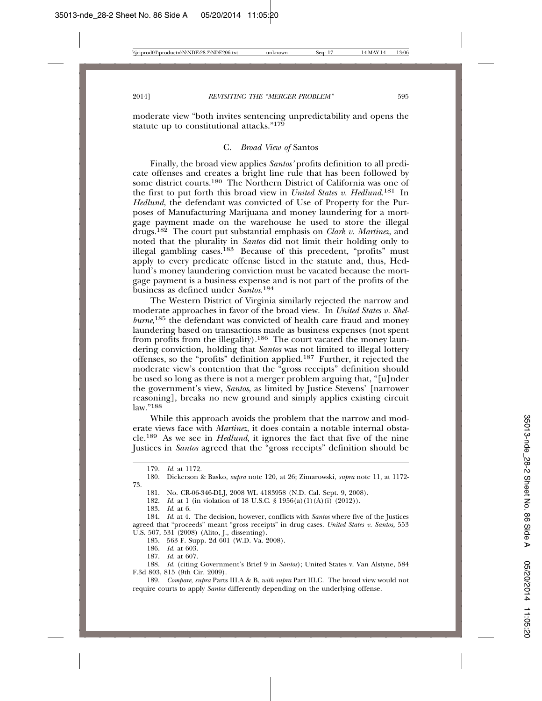moderate view "both invites sentencing unpredictability and opens the statute up to constitutional attacks."<sup>179</sup>

#### C. *Broad View of* Santos

Finally, the broad view applies *Santos'* profits definition to all predicate offenses and creates a bright line rule that has been followed by some district courts.<sup>180</sup> The Northern District of California was one of the first to put forth this broad view in *United States v. Hedlund.*181 In *Hedlund*, the defendant was convicted of Use of Property for the Purposes of Manufacturing Marijuana and money laundering for a mortgage payment made on the warehouse he used to store the illegal drugs.182 The court put substantial emphasis on *Clark v. Martinez*, and noted that the plurality in *Santos* did not limit their holding only to illegal gambling cases.<sup>183</sup> Because of this precedent, "profits" must apply to every predicate offense listed in the statute and, thus, Hedlund's money laundering conviction must be vacated because the mortgage payment is a business expense and is not part of the profits of the business as defined under *Santos*. 184

The Western District of Virginia similarly rejected the narrow and moderate approaches in favor of the broad view. In *United States v. Shelburne*, 185 the defendant was convicted of health care fraud and money laundering based on transactions made as business expenses (not spent from profits from the illegality).186 The court vacated the money laundering conviction, holding that *Santos* was not limited to illegal lottery offenses, so the "profits" definition applied.187 Further, it rejected the moderate view's contention that the "gross receipts" definition should be used so long as there is not a merger problem arguing that, "[u]nder the government's view, *Santos*, as limited by Justice Stevens' [narrower reasoning], breaks no new ground and simply applies existing circuit law."<sup>188</sup>

While this approach avoids the problem that the narrow and moderate views face with *Martinez*, it does contain a notable internal obstacle.189 As we see in *Hedlund*, it ignores the fact that five of the nine Justices in *Santos* agreed that the "gross receipts" definition should be

183. *Id.* at 6.

184. *Id.* at 4. The decision, however, conflicts with *Santos* where five of the Justices agreed that "proceeds" meant "gross receipts" in drug cases. *United States v. Santos,* 553 U.S. 507, 531 (2008) (Alito, J., dissenting).

185. 563 F. Supp. 2d 601 (W.D. Va. 2008).

186. *Id.* at 603.

187. *Id.* at 607.

188. *Id.* (citing Government's Brief 9 in *Santos*); United States v. Van Alstyne, 584 F.3d 803, 815 (9th Cir. 2009).

189. *Compare*, *supra* Parts III.A & B, *with supra* Part III.C. The broad view would not require courts to apply *Santos* differently depending on the underlying offense.

<sup>179.</sup> *Id.* at 1172.

<sup>180.</sup> Dickerson & Basko, *supra* note 120, at 26; Zimarowski, *supra* note 11, at 1172- 73.

<sup>181.</sup> No. CR-06-346-DLJ, 2008 WL 4183958 (N.D. Cal. Sept. 9, 2008).

<sup>182.</sup> *Id.* at 1 (in violation of 18 U.S.C. § 1956(a)(1)(A)(i) (2012)).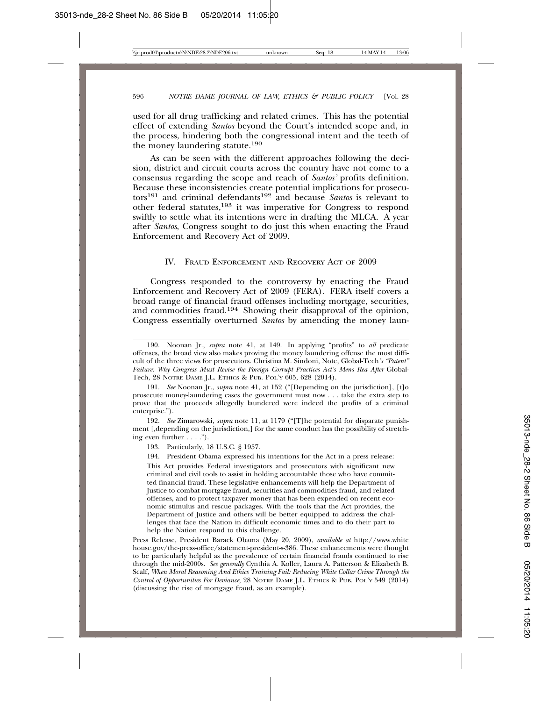used for all drug trafficking and related crimes. This has the potential effect of extending *Santos* beyond the Court's intended scope and, in the process, hindering both the congressional intent and the teeth of the money laundering statute.190

As can be seen with the different approaches following the decision, district and circuit courts across the country have not come to a consensus regarding the scope and reach of *Santos'* profits definition. Because these inconsistencies create potential implications for prosecutors191 and criminal defendants192 and because *Santos* is relevant to other federal statutes,193 it was imperative for Congress to respond swiftly to settle what its intentions were in drafting the MLCA. A year after *Santos*, Congress sought to do just this when enacting the Fraud Enforcement and Recovery Act of 2009.

#### IV. FRAUD ENFORCEMENT AND RECOVERY ACT OF 2009

Congress responded to the controversy by enacting the Fraud Enforcement and Recovery Act of 2009 (FERA). FERA itself covers a broad range of financial fraud offenses including mortgage, securities, and commodities fraud.194 Showing their disapproval of the opinion, Congress essentially overturned *Santos* by amending the money laun-

192. *See* Zimarowski, *supra* note 11, at 1179 ("[T]he potential for disparate punishment [,depending on the jurisdiction,] for the same conduct has the possibility of stretching even further . . . .").

<sup>190.</sup> Noonan Jr., *supra* note 41, at 149. In applying "profits" to *all* predicate offenses, the broad view also makes proving the money laundering offense the most difficult of the three views for prosecutors. Christina M. Sindoni, Note, Global-Tech*'s "Patent" Failure: Why Congress Must Revise the Foreign Corrupt Practices Act's Mens Rea After Global-*Tech, 28 NOTRE DAME J.L. ETHICS & PUB. POL'Y 605, 628 (2014).

<sup>191.</sup> *See* Noonan Jr., *supra* note 41, at 152 ("[Depending on the jurisdiction], [t]o prosecute money-laundering cases the government must now . . . take the extra step to prove that the proceeds allegedly laundered were indeed the profits of a criminal enterprise.").

<sup>193.</sup> Particularly, 18 U.S.C. § 1957.

<sup>194.</sup> President Obama expressed his intentions for the Act in a press release:

This Act provides Federal investigators and prosecutors with significant new criminal and civil tools to assist in holding accountable those who have committed financial fraud. These legislative enhancements will help the Department of Justice to combat mortgage fraud, securities and commodities fraud, and related offenses, and to protect taxpayer money that has been expended on recent economic stimulus and rescue packages. With the tools that the Act provides, the Department of Justice and others will be better equipped to address the challenges that face the Nation in difficult economic times and to do their part to help the Nation respond to this challenge.

Press Release, President Barack Obama (May 20, 2009), *available at* http://www.white house.gov/the-press-office/statement-president-s-386. These enhancements were thought to be particularly helpful as the prevalence of certain financial frauds continued to rise through the mid-2000s. *See generally* Cynthia A. Koller, Laura A. Patterson & Elizabeth B. Scalf, *When Moral Reasoning And Ethics Training Fail: Reducing White Collar Crime Through the Control of Opportunities For Deviance*, 28 NOTRE DAME J.L. ETHICS & PUB. POL'Y 549 (2014) (discussing the rise of mortgage fraud, as an example).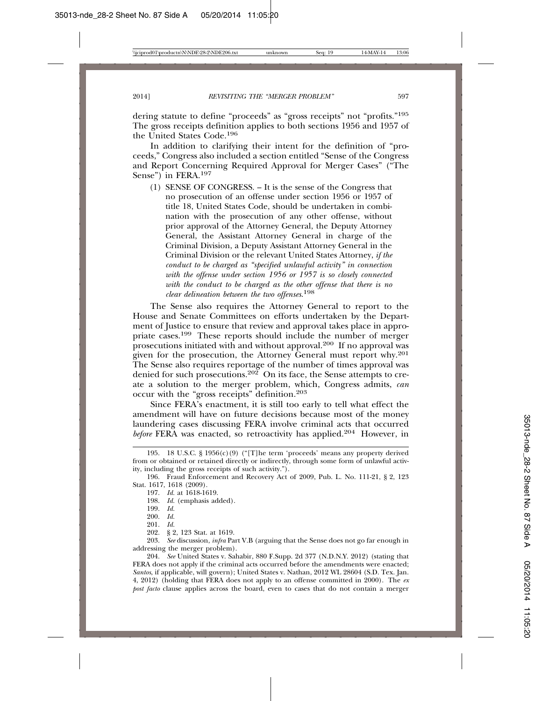dering statute to define "proceeds" as "gross receipts" not "profits."195 The gross receipts definition applies to both sections 1956 and 1957 of the United States Code.196

In addition to clarifying their intent for the definition of "proceeds," Congress also included a section entitled "Sense of the Congress and Report Concerning Required Approval for Merger Cases" ("The Sense") in FERA.<sup>197</sup>

(1) SENSE OF CONGRESS. – It is the sense of the Congress that no prosecution of an offense under section 1956 or 1957 of title 18, United States Code, should be undertaken in combination with the prosecution of any other offense, without prior approval of the Attorney General, the Deputy Attorney General, the Assistant Attorney General in charge of the Criminal Division, a Deputy Assistant Attorney General in the Criminal Division or the relevant United States Attorney, *if the conduct to be charged as "specified unlawful activity" in connection with the offense under section 1956 or 1957 is so closely connected with the conduct to be charged as the other offense that there is no clear delineation between the two offenses*. 198

The Sense also requires the Attorney General to report to the House and Senate Committees on efforts undertaken by the Department of Justice to ensure that review and approval takes place in appropriate cases.199 These reports should include the number of merger prosecutions initiated with and without approval.200 If no approval was given for the prosecution, the Attorney General must report why.<sup>201</sup> The Sense also requires reportage of the number of times approval was denied for such prosecutions.<sup>202</sup> On its face, the Sense attempts to create a solution to the merger problem, which, Congress admits, *can* occur with the "gross receipts" definition.203

Since FERA's enactment, it is still too early to tell what effect the amendment will have on future decisions because most of the money laundering cases discussing FERA involve criminal acts that occurred *before* FERA was enacted, so retroactivity has applied.<sup>204</sup> However, in

<sup>195. 18</sup> U.S.C. § 1956(c)(9) ("[T]he term 'proceeds' means any property derived from or obtained or retained directly or indirectly, through some form of unlawful activity, including the gross receipts of such activity.").

<sup>196.</sup> Fraud Enforcement and Recovery Act of 2009, Pub. L. No. 111-21, § 2, 123 Stat. 1617, 1618 (2009).

<sup>197.</sup> *Id.* at 1618-1619.

<sup>198.</sup> *Id.* (emphasis added).

<sup>199.</sup> *Id.*

<sup>200.</sup> *Id.*

<sup>201.</sup> *Id.*

<sup>202. § 2, 123</sup> Stat. at 1619.

<sup>203.</sup> *See* discussion, *infra* Part V.B (arguing that the Sense does not go far enough in addressing the merger problem).

<sup>204.</sup> *See* United States v. Sahabir, 880 F.Supp. 2d 377 (N.D.N.Y. 2012) (stating that FERA does not apply if the criminal acts occurred before the amendments were enacted; *Santos*, if applicable, will govern); United States v. Nathan, 2012 WL 28604 (S.D. Tex. Jan. 4, 2012) (holding that FERA does not apply to an offense committed in 2000). The *ex post facto* clause applies across the board, even to cases that do not contain a merger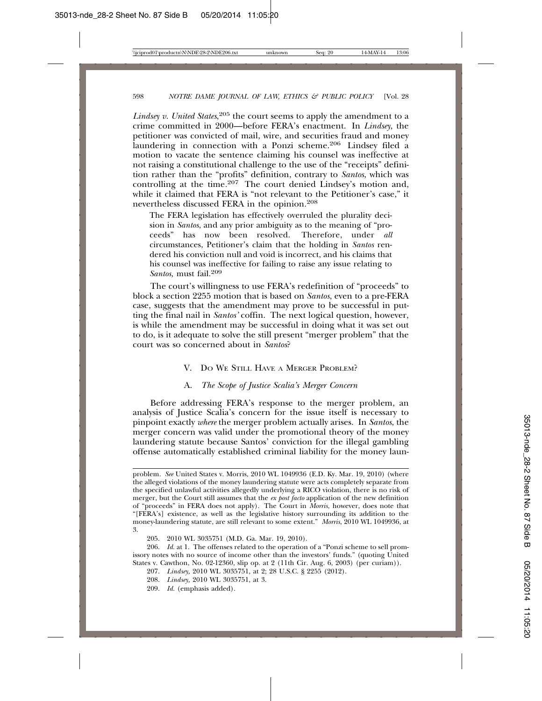*Lindsey v. United States*, 205 the court seems to apply the amendment to a crime committed in 2000—before FERA's enactment. In *Lindsey*, the petitioner was convicted of mail, wire, and securities fraud and money laundering in connection with a Ponzi scheme.<sup>206</sup> Lindsey filed a motion to vacate the sentence claiming his counsel was ineffective at not raising a constitutional challenge to the use of the "receipts" definition rather than the "profits" definition, contrary to *Santos*, which was controlling at the time*.* 207 The court denied Lindsey's motion and, while it claimed that FERA is "not relevant to the Petitioner's case," it nevertheless discussed FERA in the opinion.208

The FERA legislation has effectively overruled the plurality decision in *Santos*, and any prior ambiguity as to the meaning of "proceeds" has now been resolved. Therefore, under *all* circumstances, Petitioner's claim that the holding in *Santos* rendered his conviction null and void is incorrect, and his claims that his counsel was ineffective for failing to raise any issue relating to *Santos,* must fail.<sup>209</sup>

The court's willingness to use FERA's redefinition of "proceeds" to block a section 2255 motion that is based on *Santos*, even to a pre-FERA case, suggests that the amendment may prove to be successful in putting the final nail in *Santos'* coffin. The next logical question, however, is while the amendment may be successful in doing what it was set out to do, is it adequate to solve the still present "merger problem" that the court was so concerned about in *Santos*?

#### V. DO WE STILL HAVE A MERGER PROBLEM?

#### A. *The Scope of Justice Scalia's Merger Concern*

Before addressing FERA's response to the merger problem, an analysis of Justice Scalia's concern for the issue itself is necessary to pinpoint exactly *where* the merger problem actually arises. In *Santos*, the merger concern was valid under the promotional theory of the money laundering statute because Santos' conviction for the illegal gambling offense automatically established criminal liability for the money laun-

- 207. *Lindsey,* 2010 WL 3035751, at 2; 28 U.S.C. § 2255 (2012).
- 208. *Lindsey,* 2010 WL 3035751, at 3.
- 209. *Id.* (emphasis added).

problem. *See* United States v. Morris, 2010 WL 1049936 (E.D. Ky. Mar. 19, 2010) (where the alleged violations of the money laundering statute were acts completely separate from the specified unlawful activities allegedly underlying a RICO violation, there is no risk of merger, but the Court still assumes that the *ex post facto* application of the new definition of "proceeds" in FERA does not apply). The Court in *Morris*, however, does note that "[FERA's] existence, as well as the legislative history surrounding its addition to the money-laundering statute, are still relevant to some extent." *Morris*, 2010 WL 1049936, at 3.

<sup>205. 2010</sup> WL 3035751 (M.D. Ga. Mar. 19, 2010).

<sup>206.</sup> *Id.* at 1. The offenses related to the operation of a "Ponzi scheme to sell promissory notes with no source of income other than the investors' funds." (quoting United States v. Cawthon, No. 02-12360, slip op. at 2 (11th Cir. Aug. 6, 2003) (per curiam)).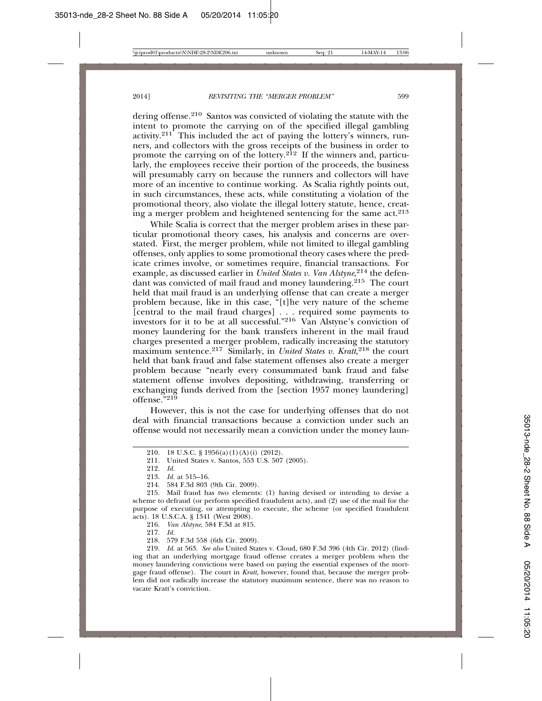dering offense.210 Santos was convicted of violating the statute with the intent to promote the carrying on of the specified illegal gambling activity.211 This included the act of paying the lottery's winners, runners, and collectors with the gross receipts of the business in order to promote the carrying on of the lottery.<sup>212</sup> If the winners and, particularly, the employees receive their portion of the proceeds, the business will presumably carry on because the runners and collectors will have more of an incentive to continue working. As Scalia rightly points out, in such circumstances, these acts, while constituting a violation of the promotional theory, also violate the illegal lottery statute, hence, creating a merger problem and heightened sentencing for the same  $act.^{213}$ 

While Scalia is correct that the merger problem arises in these particular promotional theory cases, his analysis and concerns are overstated. First, the merger problem, while not limited to illegal gambling offenses, only applies to some promotional theory cases where the predicate crimes involve, or sometimes require, financial transactions. For example, as discussed earlier in *United States v. Van Alstyne*, 214 the defendant was convicted of mail fraud and money laundering.<sup>215</sup> The court held that mail fraud is an underlying offense that can create a merger problem because, like in this case, "[t]he very nature of the scheme [central to the mail fraud charges] . . . required some payments to investors for it to be at all successful."216 Van Alstyne's conviction of money laundering for the bank transfers inherent in the mail fraud charges presented a merger problem, radically increasing the statutory maximum sentence.217 Similarly, in *United States v. Kratt*, 218 the court held that bank fraud and false statement offenses also create a merger problem because "nearly every consummated bank fraud and false statement offense involves depositing, withdrawing, transferring or exchanging funds derived from the [section 1957 money laundering] offense."<sup>219</sup>

However, this is not the case for underlying offenses that do not deal with financial transactions because a conviction under such an offense would not necessarily mean a conviction under the money laun-

218. 579 F.3d 558 (6th Cir. 2009).

219. *Id.* at 563. *See also* United States v. Cloud, 680 F.3d 396 (4th Cir. 2012) (finding that an underlying mortgage fraud offense creates a merger problem when the money laundering convictions were based on paying the essential expenses of the mortgage fraud offense). The court in *Kratt,* however, found that, because the merger problem did not radically increase the statutory maximum sentence, there was no reason to vacate Kratt's conviction.

<sup>210. 18</sup> U.S.C. § 1956(a)(1)(A)(i) (2012).

<sup>211.</sup> United States v. Santos*,* 553 U.S. 507 (2005).

<sup>212.</sup> *Id.*

<sup>213.</sup> *Id.* at 515–16.

<sup>214. 584</sup> F.3d 803 (9th Cir. 2009).

<sup>215.</sup> Mail fraud has two elements: (1) having devised or intending to devise a scheme to defraud (or perform specified fraudulent acts), and (2) use of the mail for the purpose of executing, or attempting to execute, the scheme (or specified fraudulent acts). 18 U.S.C.A. § 1341 (West 2008).

<sup>216.</sup> *Van Alstyne*, 584 F.3d at 815.

<sup>217.</sup> *Id.*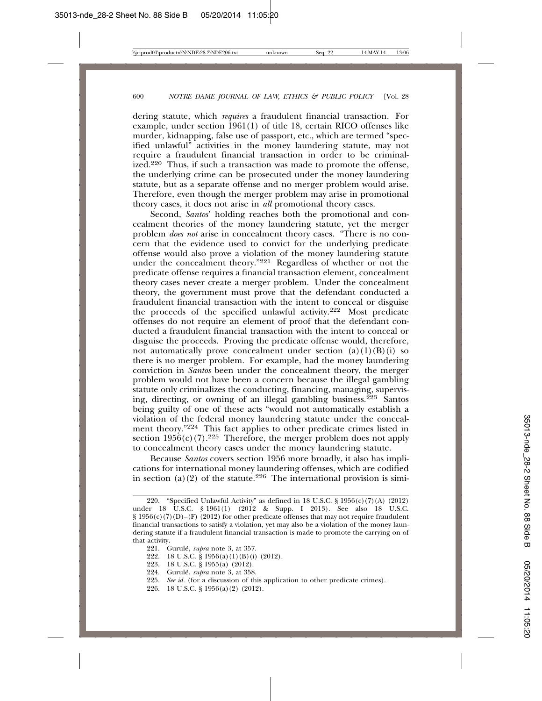dering statute, which *requires* a fraudulent financial transaction. For example, under section  $1961(1)$  of title 18, certain RICO offenses like murder, kidnapping, false use of passport, etc., which are termed "specified unlawful" activities in the money laundering statute, may not require a fraudulent financial transaction in order to be criminalized.<sup>220</sup> Thus, if such a transaction was made to promote the offense, the underlying crime can be prosecuted under the money laundering statute, but as a separate offense and no merger problem would arise. Therefore, even though the merger problem may arise in promotional theory cases, it does not arise in *all* promotional theory cases.

Second, *Santos*' holding reaches both the promotional and concealment theories of the money laundering statute, yet the merger problem *does not* arise in concealment theory cases. "There is no concern that the evidence used to convict for the underlying predicate offense would also prove a violation of the money laundering statute under the concealment theory."<sup>221</sup> Regardless of whether or not the predicate offense requires a financial transaction element, concealment theory cases never create a merger problem. Under the concealment theory, the government must prove that the defendant conducted a fraudulent financial transaction with the intent to conceal or disguise the proceeds of the specified unlawful activity.222 Most predicate offenses do not require an element of proof that the defendant conducted a fraudulent financial transaction with the intent to conceal or disguise the proceeds. Proving the predicate offense would, therefore, not automatically prove concealment under section  $(a)(1)(B)(i)$  so there is no merger problem. For example, had the money laundering conviction in *Santos* been under the concealment theory, the merger problem would not have been a concern because the illegal gambling statute only criminalizes the conducting, financing, managing, supervising, directing, or owning of an illegal gambling business.<sup> $223$ </sup> Santos being guilty of one of these acts "would not automatically establish a violation of the federal money laundering statute under the concealment theory."224 This fact applies to other predicate crimes listed in section  $1956(c)(7)$ .<sup>225</sup> Therefore, the merger problem does not apply to concealment theory cases under the money laundering statute.

Because *Santos* covers section 1956 more broadly, it also has implications for international money laundering offenses, which are codified in section (a)(2) of the statute.<sup>226</sup> The international provision is simi-

- 18 U.S.C. § 1956(a)(1)(B)(i) (2012).
- 223. 18 U.S.C. § 1955(a) (2012).
- 224. Gurulé, *supra* note 3, at 358.
- 225. *See id.* (for a discussion of this application to other predicate crimes).
- 226. 18 U.S.C. § 1956(a)(2) (2012).

<sup>220. &</sup>quot;Specified Unlawful Activity" as defined in 18 U.S.C. § 1956(c)(7)(A) (2012) under 18 U.S.C. § 1961(1) (2012 & Supp. I 2013). See also 18 U.S.C. § 1956(c)(7)(D)–(F) (2012) for other predicate offenses that may not require fraudulent financial transactions to satisfy a violation, yet may also be a violation of the money laundering statute if a fraudulent financial transaction is made to promote the carrying on of that activity.

<sup>221.</sup> Gurulé, *supra* note 3, at 357.<br>222. 18 U.S.C. § 1956(a)(1)(B)(i)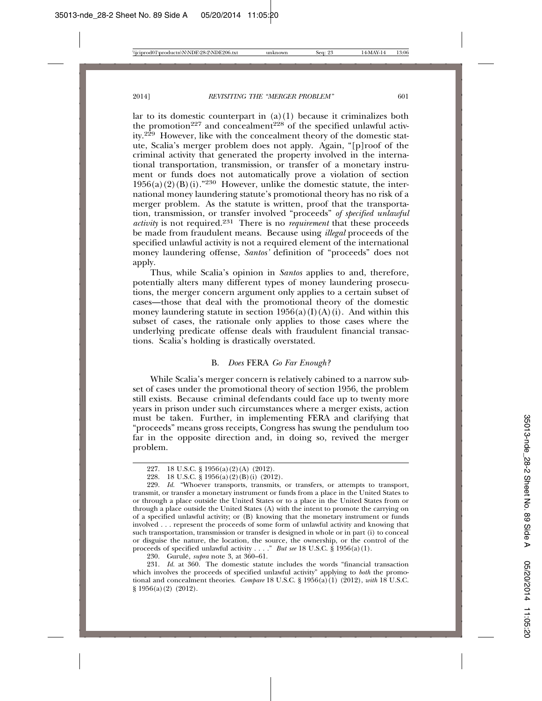lar to its domestic counterpart in  $(a)(1)$  because it criminalizes both the promotion<sup>227</sup> and concealment<sup>228</sup> of the specified unlawful activity.<sup>229</sup> However, like with the concealment theory of the domestic statute, Scalia's merger problem does not apply. Again, "[p]roof of the criminal activity that generated the property involved in the international transportation, transmission, or transfer of a monetary instrument or funds does not automatically prove a violation of section  $1956(a)(2)(B)(i).$ <sup>230</sup> However, unlike the domestic statute, the international money laundering statute's promotional theory has no risk of a merger problem. As the statute is written, proof that the transportation, transmission, or transfer involved "proceeds" *of specified unlawful activity* is not required.231 There is no *requirement* that these proceeds be made from fraudulent means. Because using *illegal* proceeds of the specified unlawful activity is not a required element of the international money laundering offense, *Santos'* definition of "proceeds" does not apply.

Thus, while Scalia's opinion in *Santos* applies to and, therefore, potentially alters many different types of money laundering prosecutions, the merger concern argument only applies to a certain subset of cases—those that deal with the promotional theory of the domestic money laundering statute in section  $1956(a)(I)(A)(i)$ . And within this subset of cases, the rationale only applies to those cases where the underlying predicate offense deals with fraudulent financial transactions. Scalia's holding is drastically overstated.

#### B. *Does* FERA *Go Far Enough?*

While Scalia's merger concern is relatively cabined to a narrow subset of cases under the promotional theory of section 1956, the problem still exists. Because criminal defendants could face up to twenty more years in prison under such circumstances where a merger exists, action must be taken. Further, in implementing FERA and clarifying that "proceeds" means gross receipts, Congress has swung the pendulum too far in the opposite direction and, in doing so, revived the merger problem.

230. Gurulé, *supra* note 3, at 360–61.

231. *Id.* at 360. The domestic statute includes the words "financial transaction which involves the proceeds of specified unlawful activity" applying to *both* the promotional and concealment theories. *Compare* 18 U.S.C. § 1956(a)(1) (2012), *with* 18 U.S.C. § 1956(a)(2) (2012).

<sup>227. 18</sup> U.S.C. § 1956(a)(2)(A) (2012).

<sup>228. 18</sup> U.S.C. § 1956(a)(2)(B)(i) (2012).

<sup>229.</sup> *Id.* "Whoever transports, transmits, or transfers, or attempts to transport, transmit, or transfer a monetary instrument or funds from a place in the United States to or through a place outside the United States or to a place in the United States from or through a place outside the United States (A) with the intent to promote the carrying on of a specified unlawful activity; or (B) knowing that the monetary instrument or funds involved . . . represent the proceeds of some form of unlawful activity and knowing that such transportation, transmission or transfer is designed in whole or in part (i) to conceal or disguise the nature, the location, the source, the ownership, or the control of the proceeds of specified unlawful activity . . . ." *But see* 18 U.S.C. § 1956(a)(1).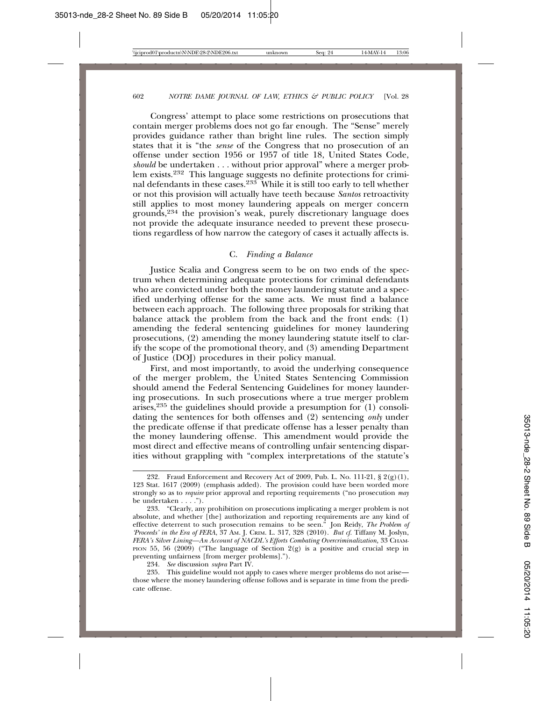Congress' attempt to place some restrictions on prosecutions that contain merger problems does not go far enough. The "Sense" merely provides guidance rather than bright line rules. The section simply states that it is "the *sense* of the Congress that no prosecution of an offense under section 1956 or 1957 of title 18, United States Code, *should* be undertaken . . . without prior approval" where a merger problem exists.232 This language suggests no definite protections for criminal defendants in these cases.233 While it is still too early to tell whether or not this provision will actually have teeth because *Santos* retroactivity still applies to most money laundering appeals on merger concern grounds,234 the provision's weak, purely discretionary language does not provide the adequate insurance needed to prevent these prosecutions regardless of how narrow the category of cases it actually affects is.

#### C. *Finding a Balance*

Justice Scalia and Congress seem to be on two ends of the spectrum when determining adequate protections for criminal defendants who are convicted under both the money laundering statute and a specified underlying offense for the same acts. We must find a balance between each approach. The following three proposals for striking that balance attack the problem from the back and the front ends: (1) amending the federal sentencing guidelines for money laundering prosecutions, (2) amending the money laundering statute itself to clarify the scope of the promotional theory, and (3) amending Department of Justice (DOJ) procedures in their policy manual.

First, and most importantly, to avoid the underlying consequence of the merger problem, the United States Sentencing Commission should amend the Federal Sentencing Guidelines for money laundering prosecutions. In such prosecutions where a true merger problem arises,<sup>235</sup> the guidelines should provide a presumption for  $(1)$  consolidating the sentences for both offenses and (2) sentencing *only* under the predicate offense if that predicate offense has a lesser penalty than the money laundering offense. This amendment would provide the most direct and effective means of controlling unfair sentencing disparities without grappling with "complex interpretations of the statute's

<sup>232.</sup> Fraud Enforcement and Recovery Act of 2009, Pub. L. No. 111-21,  $\S 2(g)(1)$ , 123 Stat. 1617 (2009) (emphasis added). The provision could have been worded more strongly so as to *require* prior approval and reporting requirements ("no prosecution *may* be undertaken . . . .").

<sup>233. &</sup>quot;Clearly, any prohibition on prosecutions implicating a merger problem is not absolute, and whether [the] authorization and reporting requirements are any kind of effective deterrent to such prosecution remains to be seen." Jon Reidy, *The Problem of 'Proceeds' in the Era of FERA*, 37 AM. J. CRIM. L. 317, 328 (2010). *But cf.* Tiffany M. Joslyn, *FERA's Silver Lining—An Account of NACDL's Efforts Combating Overcriminalization,* 33 CHAM-PION  $55, 56$  (2009) ("The language of Section  $2(g)$  is a positive and crucial step in preventing unfairness [from merger problems].").

<sup>234.</sup> *See* discussion *supra* Part IV.

<sup>235.</sup> This guideline would not apply to cases where merger problems do not arise those where the money laundering offense follows and is separate in time from the predicate offense.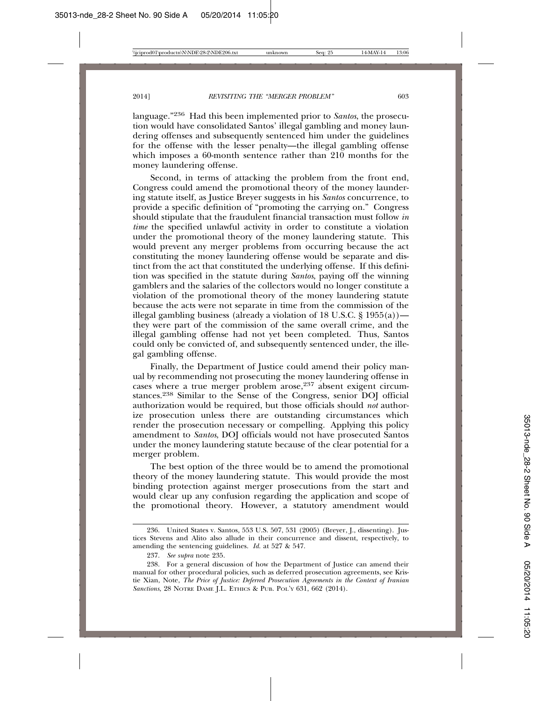language."236 Had this been implemented prior to *Santos*, the prosecution would have consolidated Santos' illegal gambling and money laundering offenses and subsequently sentenced him under the guidelines for the offense with the lesser penalty—the illegal gambling offense which imposes a 60-month sentence rather than 210 months for the money laundering offense.

Second, in terms of attacking the problem from the front end, Congress could amend the promotional theory of the money laundering statute itself, as Justice Breyer suggests in his *Santos* concurrence, to provide a specific definition of "promoting the carrying on." Congress should stipulate that the fraudulent financial transaction must follow *in time* the specified unlawful activity in order to constitute a violation under the promotional theory of the money laundering statute. This would prevent any merger problems from occurring because the act constituting the money laundering offense would be separate and distinct from the act that constituted the underlying offense. If this definition was specified in the statute during *Santos*, paying off the winning gamblers and the salaries of the collectors would no longer constitute a violation of the promotional theory of the money laundering statute because the acts were not separate in time from the commission of the illegal gambling business (already a violation of 18 U.S.C. § 1955(a)) they were part of the commission of the same overall crime, and the illegal gambling offense had not yet been completed. Thus, Santos could only be convicted of, and subsequently sentenced under, the illegal gambling offense.

Finally, the Department of Justice could amend their policy manual by recommending not prosecuting the money laundering offense in cases where a true merger problem arose,237 absent exigent circumstances.238 Similar to the Sense of the Congress, senior DOJ official authorization would be required, but those officials should *not* authorize prosecution unless there are outstanding circumstances which render the prosecution necessary or compelling. Applying this policy amendment to *Santos*, DOJ officials would not have prosecuted Santos under the money laundering statute because of the clear potential for a merger problem.

The best option of the three would be to amend the promotional theory of the money laundering statute. This would provide the most binding protection against merger prosecutions from the start and would clear up any confusion regarding the application and scope of the promotional theory. However, a statutory amendment would

<sup>236.</sup> United States v. Santos*,* 553 U.S. 507, 531 (2005) (Breyer, J., dissenting). Justices Stevens and Alito also allude in their concurrence and dissent, respectively, to amending the sentencing guidelines. *Id.* at 527 & 547.

<sup>237.</sup> *See supra* note 235.

<sup>238.</sup> For a general discussion of how the Department of Justice can amend their manual for other procedural policies, such as deferred prosecution agreements, see Kristie Xian, Note, *The Price of Justice: Deferred Prosecution Agreements in the Context of Iranian Sanctions*, 28 NOTRE DAME J.L. ETHICS & PUB. POL'Y 631, 662 (2014).